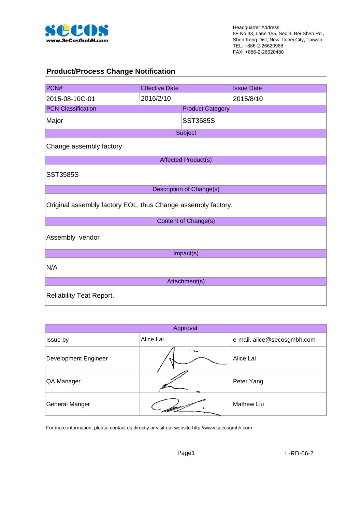

#### **Product/Process Change Notification**

| PCN#                                                         | <b>Effective Date</b> |                                 | <b>Issue Date</b> |  |  |  |  |  |
|--------------------------------------------------------------|-----------------------|---------------------------------|-------------------|--|--|--|--|--|
| 2015-08-10C-01                                               | 2016/2/10             |                                 | 2015/8/10         |  |  |  |  |  |
| <b>PCN Classification</b>                                    |                       | <b>Product Category</b>         |                   |  |  |  |  |  |
| Major                                                        |                       | <b>SST3585S</b>                 |                   |  |  |  |  |  |
|                                                              |                       | Subject                         |                   |  |  |  |  |  |
| Change assembly factory                                      |                       |                                 |                   |  |  |  |  |  |
|                                                              |                       | <b>Affected Product(s)</b>      |                   |  |  |  |  |  |
| <b>SST3585S</b>                                              |                       |                                 |                   |  |  |  |  |  |
|                                                              |                       | <b>Description of Change(s)</b> |                   |  |  |  |  |  |
| Original assembly factory EOL, thus Change assembly factory. |                       |                                 |                   |  |  |  |  |  |
|                                                              |                       | Content of Change(s)            |                   |  |  |  |  |  |
| Assembly vendor                                              |                       |                                 |                   |  |  |  |  |  |
|                                                              |                       | Impact(s)                       |                   |  |  |  |  |  |
| N/A                                                          |                       |                                 |                   |  |  |  |  |  |
|                                                              |                       | Attachment(s)                   |                   |  |  |  |  |  |
| <b>Reliability Teat Report.</b>                              |                       |                                 |                   |  |  |  |  |  |

|                       | Approval  |                             |
|-----------------------|-----------|-----------------------------|
| Issue by              | Alice Lai | e-mail: alice@secosgmbh.com |
| Development Engineer  |           | Alice Lai                   |
| QA Manager            |           | Peter Yang                  |
| <b>General Manger</b> |           | <b>Mathew Liu</b>           |

For more information, please contact us directly or visit our website http://www.secosgmbh.com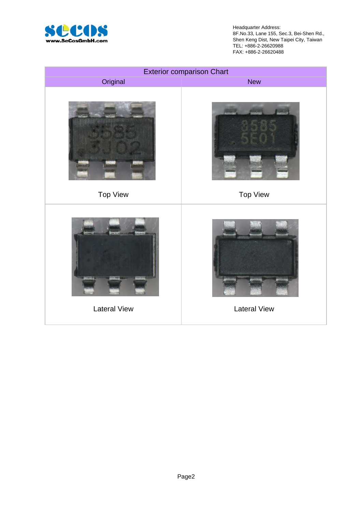

Headquarter Address: 8F.No.33, Lane 155, Sec.3, Bei-Shen Rd., Shen Keng Dist, New Taipei City, Taiwan TEL: +886-2-26620988 FAX: +886-2-26620488

|                     | <b>Exterior comparison Chart</b> |
|---------------------|----------------------------------|
| Original            | <b>New</b>                       |
|                     |                                  |
| <b>Top View</b>     | <b>Top View</b>                  |
|                     |                                  |
| <b>Lateral View</b> | <b>Lateral View</b>              |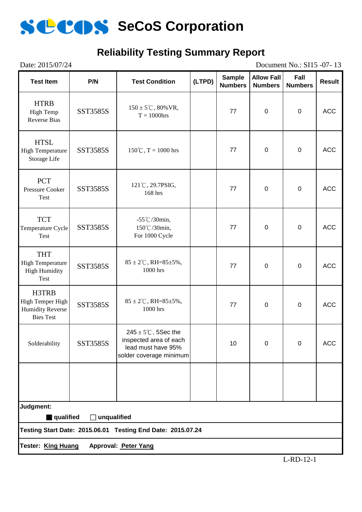

### **Reliability Testing Summary Report**

| Date: 2015/07/24 |  |  |  |
|------------------|--|--|--|
|------------------|--|--|--|

Document No.: SI15 -07- 13

| <b>Test Item</b>                                                             | P/N                | <b>Test Condition</b>                                                                                      | (LTPD) | <b>Sample</b><br><b>Numbers</b> | <b>Allow Fall</b><br><b>Numbers</b> | Fall<br><b>Numbers</b> | <b>Result</b> |
|------------------------------------------------------------------------------|--------------------|------------------------------------------------------------------------------------------------------------|--------|---------------------------------|-------------------------------------|------------------------|---------------|
| <b>HTRB</b><br>High Temp<br><b>Reverse Bias</b>                              | SST3585S           | $150 \pm 5^{\circ}$ C, 80% VR,<br>$T = 1000$ hrs                                                           |        | 77                              | $\mathbf 0$                         | $\pmb{0}$              | <b>ACC</b>    |
| <b>HTSL</b><br><b>High Temperature</b><br>Storage Life                       | SST3585S           | $150^{\circ}$ C, T = 1000 hrs                                                                              |        | 77                              | $\pmb{0}$                           | $\pmb{0}$              | <b>ACC</b>    |
| <b>PCT</b><br><b>Pressure Cooker</b><br>Test                                 | SST3585S           | 121°C, 29.7PSIG,<br>168 hrs                                                                                |        | 77                              | $\pmb{0}$                           | $\pmb{0}$              | <b>ACC</b>    |
| <b>TCT</b><br>Temperature Cycle<br>Test                                      | SST3585S           | $-55^{\circ}$ C/30min,<br>150°C/30min,<br>For 1000 Cycle                                                   |        | 77                              | $\mathbf 0$                         | $\mathbf 0$            | <b>ACC</b>    |
| <b>THT</b><br><b>High Temperature</b><br><b>High Humidity</b><br><b>Test</b> | SST3585S           | $85 \pm 2^{\circ}$ C, RH= $85 \pm 5\%$ ,<br>1000 hrs                                                       |        | 77                              | $\pmb{0}$                           | $\pmb{0}$              | <b>ACC</b>    |
| H3TRB<br>High Temper High<br><b>Humidity Reverse</b><br><b>Bies Test</b>     | <b>SST3585S</b>    | $85 \pm 2^{\circ}$ C, RH= $85 \pm 5\%$ ,<br>1000 hrs                                                       |        | 77                              | $\mathbf 0$                         | $\pmb{0}$              | <b>ACC</b>    |
| Solderability                                                                | SST3585S           | $245 \pm 5^{\circ}$ C, 5Sec the<br>inspected area of each<br>lead must have 95%<br>solder coverage minimum |        | 10                              | $\mathbf 0$                         | $\overline{0}$         | <b>ACC</b>    |
|                                                                              |                    |                                                                                                            |        |                                 |                                     |                        |               |
| Judgment:<br>qualified                                                       | $\Box$ unqualified |                                                                                                            |        |                                 |                                     |                        |               |
|                                                                              |                    | Testing Start Date: 2015.06.01 Testing End Date: 2015.07.24                                                |        |                                 |                                     |                        |               |
| <b>Tester: King Huang</b>                                                    |                    | Approval: Peter Yang                                                                                       |        |                                 |                                     |                        |               |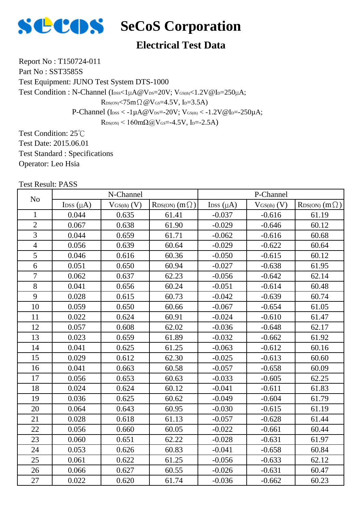

#### **Electrical Test Data**

Report No : T150724-011 Part No: SST3585S

Test Equipment: JUNO Test System DTS-1000

Test Condition : N-Channel ( $I_{DSS}$  /  $I_{U}$ A@V<sub>DS</sub>=20V; V<sub>GS(th)</sub> < 1.2V@I<sub>D</sub>=250 $U$ A;

 $R_{DS(ON)}$ <75m $\Omega$  @V $_{GS}$ =4.5V, I<sub>D</sub>=3.5A)

P-Channel ( $I_{\text{DSS}} < -1\mu A @V_{\text{DS}} = -20V$ ;  $V_{\text{GS(th}} < -1.2V @I_{\text{D}} = -250\mu A$ ;

 $R_{DS(ON)}$  < 160mΩ@V<sub>GS</sub>=-4.5V, I<sub>D</sub>=-2.5A)

Test Condition: 25℃ Test Date: 2015.06.01 Test Standard : Specifications Operator: Leo Hsia

| N <sub>o</sub> |                | N-Channel       |                            | P-Channel      |                 |                            |  |  |  |
|----------------|----------------|-----------------|----------------------------|----------------|-----------------|----------------------------|--|--|--|
|                | Ipss $(\mu A)$ | $V_{GS(th)}(V)$ | $R_{DS(ON)}$ (m $\Omega$ ) | Ipss $(\mu A)$ | $V_{GS(th)}(V)$ | $R_{DS(ON)}$ (m $\Omega$ ) |  |  |  |
| $\mathbf{1}$   | 0.044          | 0.635           | 61.41                      | $-0.037$       | $-0.616$        | 61.19                      |  |  |  |
| $\overline{2}$ | 0.067          | 0.638           | 61.90                      | $-0.029$       | $-0.646$        | 60.12                      |  |  |  |
| $\overline{3}$ | 0.044          | 0.659           | 61.71                      | $-0.062$       | $-0.616$        | 60.68                      |  |  |  |
| $\overline{4}$ | 0.056          | 0.639           | 60.64                      | $-0.029$       | $-0.622$        | 60.64                      |  |  |  |
| 5              | 0.046          | 0.616           | 60.36                      | $-0.050$       | $-0.615$        | 60.12                      |  |  |  |
| $\overline{6}$ | 0.051          | 0.650           | 60.94                      | $-0.027$       | $-0.638$        | 61.95                      |  |  |  |
| $\overline{7}$ | 0.062          | 0.637           | 62.23                      | $-0.056$       | $-0.642$        | 62.14                      |  |  |  |
| 8              | 0.041          | 0.656           | 60.24                      | $-0.051$       | $-0.614$        | 60.48                      |  |  |  |
| 9              | 0.028          | 0.615           | 60.73                      | $-0.042$       | $-0.639$        | 60.74                      |  |  |  |
| 10             | 0.059          | 0.650           | 60.66                      | $-0.067$       | $-0.654$        | 61.05                      |  |  |  |
| 11             | 0.022          | 0.624           | 60.91                      | $-0.024$       | $-0.610$        | 61.47                      |  |  |  |
| 12             | 0.057          | 0.608           | 62.02                      | $-0.036$       | $-0.648$        | 62.17                      |  |  |  |
| 13             | 0.023          | 0.659           | 61.89                      | $-0.032$       | $-0.662$        | 61.92                      |  |  |  |
| 14             | 0.041          | 0.625           | 61.25                      | $-0.063$       | $-0.612$        | 60.16                      |  |  |  |
| 15             | 0.029          | 0.612           | 62.30                      | $-0.025$       | $-0.613$        | 60.60                      |  |  |  |
| 16             | 0.041          | 0.663           | 60.58                      | $-0.057$       | $-0.658$        | 60.09                      |  |  |  |
| 17             | 0.056          | 0.653           | 60.63                      | $-0.033$       | $-0.605$        | 62.25                      |  |  |  |
| 18             | 0.024          | 0.624           | 60.12                      | $-0.041$       | $-0.611$        | 61.83                      |  |  |  |
| 19             | 0.036          | 0.625           | 60.62                      | $-0.049$       | $-0.604$        | 61.79                      |  |  |  |
| 20             | 0.064          | 0.643           | 60.95                      | $-0.030$       | $-0.615$        | 61.19                      |  |  |  |
| 21             | 0.028          | 0.618           | 61.13                      | $-0.057$       | $-0.628$        | 61.44                      |  |  |  |
| 22             | 0.056          | 0.660           | 60.05                      | $-0.022$       | $-0.661$        | 60.44                      |  |  |  |
| 23             | 0.060          | 0.651           | 62.22                      | $-0.028$       | $-0.631$        | 61.97                      |  |  |  |
| 24             | 0.053          | 0.626           | 60.83                      | $-0.041$       | $-0.658$        | 60.84                      |  |  |  |
| 25             | 0.061          | 0.622           | 61.25                      | $-0.056$       | $-0.633$        | 62.12                      |  |  |  |
| 26             | 0.066          | 0.627           | 60.55                      | $-0.026$       | $-0.631$        | 60.47                      |  |  |  |
| 27             | 0.022          | 0.620           | 61.74                      | $-0.036$       | $-0.662$        | 60.23                      |  |  |  |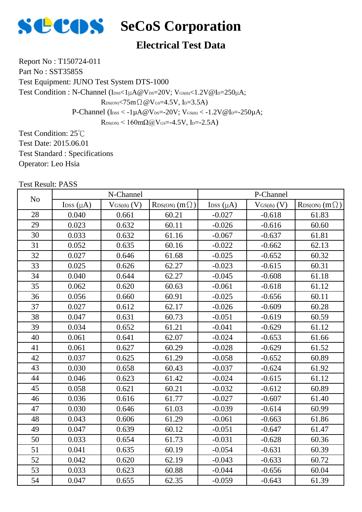

#### **Electrical Test Data**

Report No : T150724-011 Part No: SST3585S

Test Equipment: JUNO Test System DTS-1000

Test Condition : N-Channel ( $I_{DSS}$  /  $I_{U}$ A@V<sub>DS</sub>=20V; V<sub>GS(th)</sub> < 1.2V@I<sub>D</sub>=250 $U$ A;

 $R_{DS(ON)}$ <75m $\Omega$  @V $_{GS}$ =4.5V, I<sub>D</sub>=3.5A)

P-Channel ( $I_{\text{DSS}} < -1\mu A @V_{\text{DS}} = -20V$ ;  $V_{\text{GS(th}} < -1.2V @I_{\text{D}} = -250\mu A$ ;

 $R_{DS(ON)}$  < 160mΩ@V<sub>GS</sub>=-4.5V, I<sub>D</sub>=-2.5A)

Test Condition: 25℃ Test Date: 2015.06.01 Test Standard : Specifications Operator: Leo Hsia

| N <sub>o</sub> |                | N-Channel       |                        | P-Channel      |                 |                            |  |  |  |
|----------------|----------------|-----------------|------------------------|----------------|-----------------|----------------------------|--|--|--|
|                | Ipss $(\mu A)$ | $V_{GS(th)}(V)$ | $RDS(ON)$ $(m \Omega)$ | Ipss $(\mu A)$ | $V_{GS(th)}(V)$ | $R_{DS(ON)}$ (m $\Omega$ ) |  |  |  |
| 28             | 0.040          | 0.661           | 60.21                  | $-0.027$       | $-0.618$        | 61.83                      |  |  |  |
| 29             | 0.023          | 0.632           | 60.11                  | $-0.026$       | $-0.616$        | 60.60                      |  |  |  |
| 30             | 0.033          | 0.632           | 61.16                  | $-0.067$       | $-0.637$        | 61.81                      |  |  |  |
| 31             | 0.052          | 0.635           | 60.16                  | $-0.022$       | $-0.662$        | 62.13                      |  |  |  |
| 32             | 0.027          | 0.646           | 61.68                  | $-0.025$       | $-0.652$        | 60.32                      |  |  |  |
| 33             | 0.025          | 0.626           | 62.27                  | $-0.023$       | $-0.615$        | 60.31                      |  |  |  |
| 34             | 0.040          | 0.644           | 62.27                  | $-0.045$       | $-0.608$        | 61.18                      |  |  |  |
| 35             | 0.062          | 0.620           | 60.63                  | $-0.061$       | $-0.618$        | 61.12                      |  |  |  |
| 36             | 0.056          | 0.660           | 60.91                  | $-0.025$       | $-0.656$        | 60.11                      |  |  |  |
| 37             | 0.027          | 0.612           | 62.17                  | $-0.026$       | $-0.609$        | 60.28                      |  |  |  |
| 38             | 0.047          | 0.631           | 60.73                  | $-0.051$       | $-0.619$        | 60.59                      |  |  |  |
| 39             | 0.034          | 0.652           | 61.21                  | $-0.041$       | $-0.629$        | 61.12                      |  |  |  |
| 40             | 0.061          | 0.641           | 62.07                  | $-0.024$       | $-0.653$        | 61.66                      |  |  |  |
| 41             | 0.061          | 0.627           | 60.29                  | $-0.028$       | $-0.629$        | 61.52                      |  |  |  |
| 42             | 0.037          | 0.625           | 61.29                  | $-0.058$       | $-0.652$        | 60.89                      |  |  |  |
| 43             | 0.030          | 0.658           | 60.43                  | $-0.037$       | $-0.624$        | 61.92                      |  |  |  |
| 44             | 0.046          | 0.623           | 61.42                  | $-0.024$       | $-0.615$        | 61.12                      |  |  |  |
| 45             | 0.058          | 0.621           | 60.21                  | $-0.032$       | $-0.612$        | 60.89                      |  |  |  |
| 46             | 0.036          | 0.616           | 61.77                  | $-0.027$       | $-0.607$        | 61.40                      |  |  |  |
| 47             | 0.030          | 0.646           | 61.03                  | $-0.039$       | $-0.614$        | 60.99                      |  |  |  |
| 48             | 0.043          | 0.606           | 61.29                  | $-0.061$       | $-0.663$        | 61.86                      |  |  |  |
| 49             | 0.047          | 0.639           | 60.12                  | $-0.051$       | $-0.647$        | 61.47                      |  |  |  |
| 50             | 0.033          | 0.654           | 61.73                  | $-0.031$       | $-0.628$        | 60.36                      |  |  |  |
| 51             | 0.041          | 0.635           | 60.19                  | $-0.054$       | $-0.631$        | 60.39                      |  |  |  |
| 52             | 0.042          | 0.620           | 62.19                  | $-0.043$       | $-0.633$        | 60.72                      |  |  |  |
| 53             | 0.033          | 0.623           | 60.88                  | $-0.044$       | $-0.656$        | 60.04                      |  |  |  |
| 54             | 0.047          | 0.655           | 62.35                  | $-0.059$       | $-0.643$        | 61.39                      |  |  |  |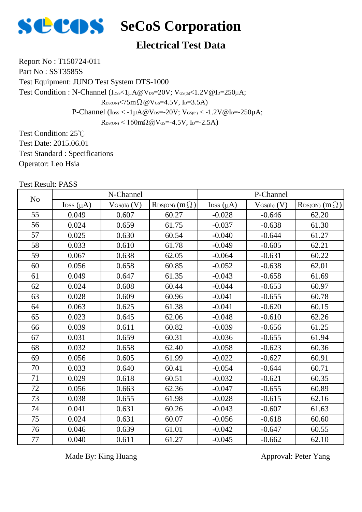

#### **Electrical Test Data**

Report No : T150724-011 Part No : SST3585S

Test Equipment: JUNO Test System DTS-1000

Test Condition : N-Channel ( $I_{DSS}$  /  $I_{U}$ A@V<sub>DS</sub>=20V; V<sub>GS(th)</sub> < 1.2V@I<sub>D</sub>=250 $U$ A;

 $R_{DS(ON)}$ <75m $\Omega$  @V $_{GS}$ =4.5V, I<sub>D</sub>=3.5A)

P-Channel ( $I_{\text{DSS}} < -1 \mu A \omega V_{\text{DS}} = -20 V$ ;  $V_{\text{GS(th)}} < -1.2 V \omega I_{\text{D}} = -250 \mu A$ ;

 $R_{DS(ON)}$  < 160mΩ@V<sub>GS</sub>=-4.5V, I<sub>D</sub>=-2.5A)

Test Condition: 25℃ Test Date: 2015.06.01 Test Standard : Specifications Operator: Leo Hsia

Test Result: PASS

| N <sub>o</sub> |                            | N-Channel       |                            | P-Channel                  |                 |                            |  |  |  |
|----------------|----------------------------|-----------------|----------------------------|----------------------------|-----------------|----------------------------|--|--|--|
|                | $\text{Loss}(\mu\text{A})$ | $V_{GS(th)}(V)$ | $R_{DS(ON)}$ (m $\Omega$ ) | $\text{Loss}(\mu\text{A})$ | $V_{GS(th)}(V)$ | $R_{DS(ON)}$ (m $\Omega$ ) |  |  |  |
| 55             | 0.049                      | 0.607           | 60.27                      | $-0.028$                   | $-0.646$        | 62.20                      |  |  |  |
| 56             | 0.024                      | 0.659           | 61.75                      | $-0.037$                   | $-0.638$        | 61.30                      |  |  |  |
| 57             | 0.025                      | 0.630           | 60.54                      | $-0.040$                   | $-0.644$        | 61.27                      |  |  |  |
| 58             | 0.033                      | 0.610           | 61.78                      | $-0.049$                   | $-0.605$        | 62.21                      |  |  |  |
| 59             | 0.067                      | 0.638           | 62.05                      | $-0.064$                   | $-0.631$        | 60.22                      |  |  |  |
| 60             | 0.056                      | 0.658           | 60.85                      | $-0.052$                   | $-0.638$        | 62.01                      |  |  |  |
| 61             | 0.049                      | 0.647           | 61.35                      | $-0.043$                   | $-0.658$        | 61.69                      |  |  |  |
| 62             | 0.024                      | 0.608           | 60.44                      | $-0.044$                   | $-0.653$        | 60.97                      |  |  |  |
| 63             | 0.028                      | 0.609           | 60.96                      | $-0.041$                   | $-0.655$        | 60.78                      |  |  |  |
| 64             | 0.063                      | 0.625           | 61.38                      | $-0.041$                   | $-0.620$        | 60.15                      |  |  |  |
| 65             | 0.023                      | 0.645           | 62.06                      | $-0.048$                   | $-0.610$        | 62.26                      |  |  |  |
| 66             | 0.039                      | 0.611           | 60.82                      | $-0.039$                   | $-0.656$        | 61.25                      |  |  |  |
| 67             | 0.031                      | 0.659           | 60.31                      | $-0.036$                   | $-0.655$        | 61.94                      |  |  |  |
| 68             | 0.032                      | 0.658           | 62.40                      | $-0.058$                   | $-0.623$        | 60.36                      |  |  |  |
| 69             | 0.056                      | 0.605           | 61.99                      | $-0.022$                   | $-0.627$        | 60.91                      |  |  |  |
| 70             | 0.033                      | 0.640           | 60.41                      | $-0.054$                   | $-0.644$        | 60.71                      |  |  |  |
| 71             | 0.029                      | 0.618           | 60.51                      | $-0.032$                   | $-0.621$        | 60.35                      |  |  |  |
| 72             | 0.056                      | 0.663           | 62.36                      | $-0.047$                   | $-0.655$        | 60.89                      |  |  |  |
| 73             | 0.038                      | 0.655           | 61.98                      | $-0.028$                   | $-0.615$        | 62.16                      |  |  |  |
| 74             | 0.041                      | 0.631           | 60.26                      | $-0.043$                   | $-0.607$        | 61.63                      |  |  |  |
| 75             | 0.024                      | 0.631           | 60.07                      | $-0.056$                   | $-0.618$        | 60.60                      |  |  |  |
| 76             | 0.046                      | 0.639           | 61.01                      | $-0.042$                   | $-0.647$        | 60.55                      |  |  |  |
| 77             | 0.040                      | 0.611           | 61.27                      | $-0.045$                   | $-0.662$        | 62.10                      |  |  |  |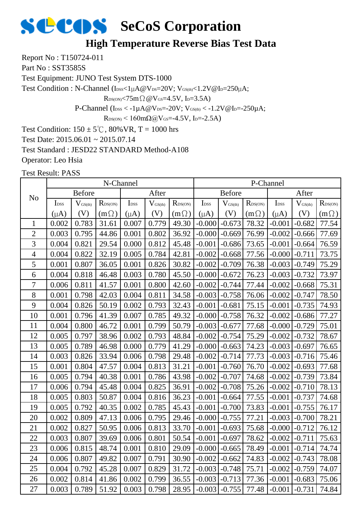## **High Temperature Reverse Bias Test Data**

Report No : T150724-011

Part No: SST3585S

Test Equipment: JUNO Test System DTS-1000

Test Condition : N-Channel (IDSS<1µA@VDS=20V; VGS(th)<1.2V@ID=250µA;

 $R_{DS(ON)}$ <75m $\Omega$  @V $_{GS}$ =4.5V, I<sub>D</sub>=3.5A)

P-Channel ( $I_{\text{DSS}} < -1 \mu A @V_{\text{DS}} = -20 V$ ;  $V_{\text{GS(th}} < -1.2 V @I_{\text{D}} = -250 \mu A$ ;

 $R_{DS(ON)}$  < 160mΩ@V<sub>GS</sub>=-4.5V, I<sub>D</sub>=-2.5A)

Test Condition:  $150 \pm 5^{\circ}$ C,  $80\%$  VR, T = 1000 hrs

Test Date: 2015.06.01 ~ 2015.07.14

Test Standard : JESD22 STANDARD Method-A108

Operator: Leo Hsia

|                |                  |               | N-Channel           |                  |                     |                     | P-Channel        |                              |                  |                  |                     |                  |
|----------------|------------------|---------------|---------------------|------------------|---------------------|---------------------|------------------|------------------------------|------------------|------------------|---------------------|------------------|
| N <sub>o</sub> |                  | <b>Before</b> |                     |                  | After               |                     | <b>Before</b>    |                              |                  |                  | After               |                  |
|                | I <sub>DSS</sub> | $V_{GS(th)}$  | $R_{\text{DS(ON)}}$ | I <sub>DSS</sub> | $V_{\text{GS(th)}}$ | $R_{\text{DS(ON)}}$ | I <sub>DSS</sub> | $\mathbf{V}_{\text{GS(th)}}$ | $R_{\rm DS(ON)}$ | I <sub>DSS</sub> | $V_{\text{GS(th)}}$ | $R_{\rm DS(ON)}$ |
|                | $(\mu A)$        | (V)           | $(m\Omega)$         | $(\mu A)$        | (V)                 | $(m \Omega)$        | $(\mu A)$        | (V)                          | $(m\Omega)$      | $(\mu A)$        | (V)                 | $(m\Omega)$      |
| $\mathbf{1}$   | 0.002            | 0.783         | 31.61               | 0.007            | 0.779               | 49.30               | $-0.000$         | $-0.673$                     | 78.32            | $-0.001$         | $-0.682$            | 77.54            |
| $\overline{c}$ | 0.003            | 0.795         | 44.86               | 0.001            | 0.802               | 36.92               | $-0.000$         | $-0.669$                     | 76.99            | $-0.002$         | $-0.666$            | 77.69            |
| 3              | 0.004            | 0.821         | 29.54               | 0.000            | 0.812               | 45.48               | $-0.001$         | $-0.686$                     | 73.65            | $-0.001$         | $-0.664$            | 76.59            |
| $\overline{4}$ | 0.004            | 0.822         | 32.19               | 0.005            | 0.784               | 42.81               | $-0.002$         | $-0.668$                     | 77.56            | $-0.000$         | $-0.711$            | 73.75            |
| 5              | 0.001            | 0.807         | 36.05               | 0.001            | 0.826               | 30.82               | $-0.002$         | $-0.709$                     | 76.38            | $-0.003$         | $-0.749$            | 75.29            |
| 6              | 0.004            | 0.818         | 46.48               | 0.003            | 0.780               | 45.50               | $-0.000$         | $-0.672$                     | 76.23            | $-0.003$         | $-0.732$            | 73.97            |
| 7              | 0.006            | 0.811         | 41.57               | 0.001            | 0.800               | 42.60               | $-0.002$         | $-0.744$                     | 77.44            | $-0.002$         | $-0.668$            | 75.31            |
| 8              | 0.001            | 0.798         | 42.03               | 0.004            | 0.811               | 34.58               | $-0.003$         | $-0.758$                     | 76.06            | $-0.002$         | $-0.747$            | 78.50            |
| 9              | 0.004            | 0.826         | 50.19               | 0.002            | 0.793               | 32.43               | $-0.001$         | $-0.681$                     | 75.15            | $-0.001$         | $-0.735$            | 74.93            |
| 10             | 0.001            | 0.796         | 41.39               | 0.007            | 0.785               | 49.32               | $-0.000$         | $-0.758$                     | 76.32            | $-0.002$         | $-0.686$            | 77.27            |
| 11             | 0.004            | 0.800         | 46.72               | 0.001            | 0.799               | 50.79               | $-0.003$         | $-0.677$                     | 77.68            | $-0.000$         | $-0.729$            | 75.01            |
| 12             | 0.005            | 0.797         | 38.96               | 0.002            | 0.793               | 48.84               | $-0.002$         | $-0.754$                     | 75.29            | $-0.002$         | $-0.732$            | 78.67            |
| 13             | 0.005            | 0.789         | 46.98               | 0.000            | 0.779               | 41.29               | $-0.000$         | $-0.663$                     | 74.23            | $-0.003$         | $-0.697$            | 76.65            |
| 14             | 0.003            | 0.826         | 33.94               | 0.006            | 0.798               | 29.48               | $-0.002$         | $-0.714$                     | 77.73            | $-0.003$         | $-0.716$            | 75.46            |
| 15             | 0.001            | 0.804         | 47.57               | 0.004            | 0.813               | 31.21               | $-0.001$         | $-0.760$                     | 76.70            | $-0.002$         | $-0.693$            | 77.68            |
| 16             | 0.005            | 0.794         | 40.38               | 0.001            | 0.786               | 43.98               | $-0.002$         | $-0.707$                     | 74.68            | $-0.002$         | $-0.739$            | 73.84            |
| 17             | 0.006            | 0.794         | 45.48               | 0.004            | 0.825               | 36.91               | $-0.002$         | $-0.708$                     | 75.26            | $-0.002$         | $-0.710$            | 78.13            |
| 18             | 0.005            | 0.803         | 50.87               | 0.004            | 0.816               | 36.23               | $-0.001$         | $-0.664$                     | 77.55            | $-0.001$         | $-0.737$            | 74.68            |
| 19             | 0.005            | 0.792         | 40.35               | 0.002            | 0.785               | 45.43               | $-0.001$         | $-0.700$                     | 73.83            | $-0.001$         | $-0.755$            | 76.17            |
| 20             | 0.002            | 0.809         | 47.13               | 0.006            | 0.795               | 29.46               | $-0.000$         | $-0.755$                     | 77.21            | $-0.003$         | $-0.700$            | 78.21            |
| 21             | 0.002            | 0.827         | 50.95               | 0.006            | 0.813               | 33.70               | $-0.001$         | $-0.693$                     | 75.68            | $-0.000$         | $-0.712$            | 76.12            |
| 22             | 0.003            | 0.807         | 39.69               | 0.006            | 0.801               | 50.54               | $-0.001$         | $-0.697$                     | 78.62            | $-0.002$         | $-0.711$            | 75.63            |
| 23             | 0.006            | 0.815         | 48.74               | 0.001            | 0.810               | 29.09               | $-0.000$         | $-0.665$                     | 78.49            | $-0.001$         | $-0.714$            | 74.74            |
| 24             | 0.006            | 0.807         | 49.82               | 0.007            | 0.791               | 30.90               | $-0.002$         | $-0.662$                     | 74.83            | $-0.002$         | $-0.743$            | 78.08            |
| 25             | 0.004            | 0.792         | 45.28               | 0.007            | 0.829               | 31.72               | $-0.003$         | $-0.748$                     | 75.71            | $-0.002$         | $-0.759$            | 74.07            |
| 26             | 0.002            | 0.814         | 41.86               | 0.002            | 0.799               | 36.55               | $-0.003$         | $-0.713$                     | 77.36            | $-0.001$         | $-0.683$            | 75.06            |
| 27             | 0.003            | 0.789         | 51.92               | 0.003            | 0.798               | 28.95               | $-0.003$         | $-0.755$                     | 77.48            | $-0.001$         | $-0.731$            | 74.84            |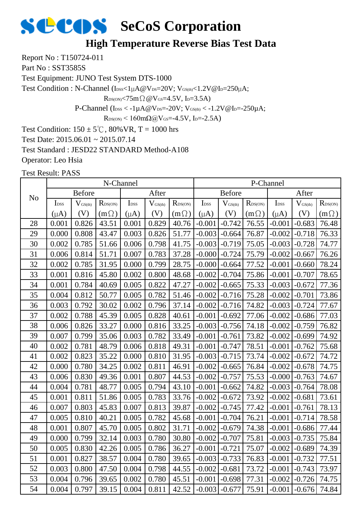## **High Temperature Reverse Bias Test Data**

Report No : T150724-011

Part No: SST3585S

Test Equipment: JUNO Test System DTS-1000

Test Condition : N-Channel (IDSS<1µA@VDS=20V; VGS(th)<1.2V@ID=250µA;

 $R_{DS(ON)}$ <75m $\Omega$  @V $_{GS}$ =4.5V, I<sub>D</sub>=3.5A)

P-Channel ( $I_{\text{DSS}} < -1 \mu A @V_{\text{DS}} = -20 V$ ;  $V_{\text{GS(th}} < -1.2 V @I_{\text{D}} = -250 \mu A$ ;

 $R_{DS(ON)}$  < 160mΩ@V<sub>GS</sub>=-4.5V, I<sub>D</sub>=-2.5A)

Test Condition:  $150 \pm 5^{\circ}$ C,  $80\%$  VR, T = 1000 hrs

Test Date: 2015.06.01 ~ 2015.07.14

Test Standard : JESD22 STANDARD Method-A108

Operator: Leo Hsia

|                |                  |                     | N-Channel        |                  |                     |                  | P-Channel        |              |                  |                  |                     |                  |
|----------------|------------------|---------------------|------------------|------------------|---------------------|------------------|------------------|--------------|------------------|------------------|---------------------|------------------|
| N <sub>o</sub> |                  | <b>Before</b>       |                  |                  | After               |                  | <b>Before</b>    |              |                  | After            |                     |                  |
|                | I <sub>DSS</sub> | $V_{\text{GS(th)}}$ | $R_{\rm DS(ON)}$ | I <sub>DSS</sub> | $V_{\text{GS(th)}}$ | $R_{\rm DS(ON)}$ | I <sub>DSS</sub> | $V_{GS(th)}$ | $R_{\rm DS(ON)}$ | I <sub>DSS</sub> | $V_{\text{GS(th)}}$ | $R_{\rm DS(ON)}$ |
|                | $(\mu A)$        | (V)                 | $(m\Omega)$      | $(\mu A)$        | (V)                 | $(m \Omega)$     | $(\mu A)$        | (V)          | $(m\Omega)$      | $(\mu A)$        | (V)                 | $(m\Omega)$      |
| 28             | 0.001            | 0.826               | 43.51            | 0.001            | 0.829               | 40.76            | $-0.001$         | $-0.742$     | 76.55            | $-0.001$         | $-0.683$            | 76.48            |
| 29             | 0.000            | 0.808               | 43.47            | 0.003            | 0.826               | 51.77            | $-0.003$         | $-0.664$     | 76.87            | $-0.002$         | $-0.718$            | 76.33            |
| 30             | 0.002            | 0.785               | 51.66            | 0.006            | 0.798               | 41.75            | $-0.003$         | $-0.719$     | 75.05            | $-0.003$         | $-0.728$            | 74.77            |
| 31             | 0.006            | 0.814               | 51.71            | 0.007            | 0.783               | 37.28            | $-0.000$         | $-0.724$     | 75.79            | $-0.002$         | $-0.667$            | 76.26            |
| 32             | 0.002            | 0.785               | 31.95            | 0.000            | 0.799               | 28.75            | $-0.000$         | $-0.664$     | 77.52            | $-0.001$         | $-0.660$            | 78.24            |
| 33             | 0.001            | 0.816               | 45.80            | 0.002            | 0.800               | 48.68            | $-0.002$         | $-0.704$     | 75.86            | $-0.001$         | $-0.707$            | 78.65            |
| 34             | 0.001            | 0.784               | 40.69            | 0.005            | 0.822               | 47.27            | $-0.002$         | $-0.665$     | 75.33            | $-0.003$         | $-0.672$            | 77.36            |
| 35             | 0.004            | 0.812               | 50.77            | 0.005            | 0.782               | 51.46            | $-0.002$         | $-0.716$     | 75.28            | $-0.002$         | $-0.701$            | 73.86            |
| 36             | 0.003            | 0.792               | 30.02            | 0.002            | 0.796               | 37.14            | $-0.002$         | $-0.716$     | 74.82            | $-0.003$         | $-0.724$            | 77.67            |
| 37             | 0.002            | 0.788               | 45.39            | 0.005            | 0.828               | 40.61            | $-0.001$         | $-0.692$     | 77.06            | $-0.002$         | $-0.686$            | 77.03            |
| 38             | 0.006            | 0.826               | 33.27            | 0.000            | 0.816               | 33.25            | $-0.003$         | $-0.756$     | 74.18            | $-0.002$         | $-0.759$            | 76.82            |
| 39             | 0.007            | 0.799               | 35.06            | 0.003            | 0.782               | 33.49            | $-0.001$         | $-0.761$     | 73.82            | $-0.002$         | $-0.699$            | 74.92            |
| 40             | 0.002            | 0.781               | 48.79            | 0.006            | 0.818               | 49.31            | $-0.001$         | $-0.747$     | 78.51            | $-0.001$         | $-0.762$            | 75.68            |
| 41             | 0.002            | 0.823               | 35.22            | 0.000            | 0.810               | 31.95            | $-0.003$         | $-0.715$     | 73.74            | $-0.002$         | $-0.672$            | 74.72            |
| 42             | 0.000            | 0.780               | 34.25            | 0.002            | 0.811               | 46.91            | $-0.002$         | $-0.665$     | 76.84            | $-0.002$         | $-0.678$            | 74.75            |
| 43             | 0.006            | 0.830               | 49.36            | 0.001            | 0.807               | 44.53            | $-0.002$         | $-0.757$     | 75.53            | $-0.000$         | $-0.763$            | 74.67            |
| 44             | 0.004            | 0.781               | 48.77            | 0.005            | 0.794               | 43.10            | $-0.001$         | $-0.662$     | 74.82            | $-0.003$         | $-0.764$            | 78.08            |
| 45             | 0.001            | 0.811               | 51.86            | 0.005            | 0.783               | 33.76            | $-0.002$         | $-0.672$     | 73.92            | $-0.002$         | $-0.681$            | 73.61            |
| 46             | 0.007            | 0.803               | 45.83            | 0.007            | 0.813               | 39.87            | $-0.002$         | $-0.745$     | 77.42            | $-0.001$         | $-0.761$            | 78.13            |
| 47             | 0.005            | 0.810               | 40.21            | 0.005            | 0.782               | 45.68            | $-0.001$         | $-0.704$     | 76.21            | $-0.001$         | $-0.714$            | 78.58            |
| 48             | 0.001            | 0.807               | 45.70            | 0.005            | 0.802               | 31.71            | $-0.002$         | $-0.679$     | 74.38            | $-0.001$         | $-0.686$            | 77.44            |
| 49             | 0.000            | 0.799               | 32.14            | 0.003            | 0.780               | 30.80            | $-0.002$         | $-0.707$     | 75.81            | $-0.003$         | $-0.735$            | 75.84            |
| 50             | 0.005            | 0.830               | 42.26            | 0.005            | 0.786               | 36.27            | $-0.001$         | $-0.721$     | 75.07            | $-0.002$         | $-0.689$            | 74.39            |
| 51             | 0.001            | 0.827               | 38.57            | 0.004            | 0.780               | 39.65            | $-0.003$         | $-0.733$     | 76.83            | $-0.001$         | $-0.732$            | 77.51            |
| 52             | 0.003            | 0.800               | 47.50            | 0.004            | 0.798               | 44.55            | $-0.002$         | $-0.681$     | 73.72            | $-0.001$         | $-0.743$            | 73.97            |
| 53             | 0.004            | 0.796               | 39.65            | 0.002            | 0.780               | 45.51            | $-0.001$         | $-0.698$     | 77.31            | $-0.002$         | $-0.726$            | 74.75            |
| 54             | 0.004            | 0.797               | 39.15            | 0.004            | 0.811               | 42.52            | $-0.003$         | $-0.677$     | 75.91            | $-0.001$         | $-0.676$            | 74.84            |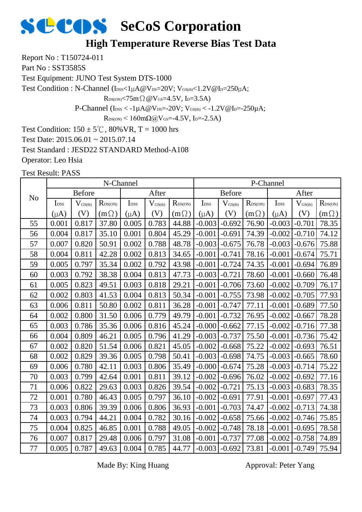### **High Temperature Reverse Bias Test Data**

Report No : T150724-011

Part No: SST3585S

Test Equipment: JUNO Test System DTS-1000

Test Condition : N-Channel (IDSS<1µA@VDS=20V; VGS(th)<1.2V@ID=250µA;

 $R_{DS(ON)} < 75m\Omega$  @  $V_{GS} = 4.5V$ , I<sub>D</sub>=3.5A)

P-Channel ( $I_{\text{DSS}} < -1 \mu A @V_{\text{DS}} = -20 V$ ;  $V_{\text{GS(th}} < -1.2 V @I_{\text{D}} = -250 \mu A$ ;

 $R_{DS(ON)}$  < 160m $\Omega$ @V<sub>GS</sub>=-4.5V, I<sub>D</sub>=-2.5A)

Test Condition:  $150 \pm 5^{\circ}$ C,  $80\%$  VR, T = 1000 hrs

Test Date: 2015.06.01 ~ 2015.07.14

Test Standard : JESD22 STANDARD Method-A108

Operator: Leo Hsia

Test Result: PASS

|                | N-Channel        |                              |                     |                  |                     |              |                  | P-Channel           |                  |                  |                     |                  |  |
|----------------|------------------|------------------------------|---------------------|------------------|---------------------|--------------|------------------|---------------------|------------------|------------------|---------------------|------------------|--|
| N <sub>o</sub> |                  | <b>Before</b>                |                     | After            |                     |              | <b>Before</b>    |                     |                  |                  | After               |                  |  |
|                | I <sub>DSS</sub> | $\mathbf{V}_{\text{GS(th)}}$ | $R_{\text{DS(ON)}}$ | I <sub>DSS</sub> | $V_{\text{GS(th)}}$ | $R_{DS(ON)}$ | I <sub>DSS</sub> | $V_{\text{GS(th)}}$ | $R_{\rm DS(ON)}$ | I <sub>DSS</sub> | $V_{\text{GS(th)}}$ | $R_{\rm DS(ON)}$ |  |
|                | $(\mu A)$        | (V)                          | $(m\Omega)$         | $(\mu A)$        | $(\rm V)$           | $(m\Omega)$  | $(\mu A)$        | (V)                 | $(m\Omega)$      | $(\mu A)$        | (V)                 | $(m\Omega)$      |  |
| 55             | 0.001            | 0.817                        | 37.80               | 0.005            | 0.783               | 44.88        | $-0.003$         | $-0.692$            | 76.90            | $-0.003$         | $-0.701$            | 78.35            |  |
| 56             | 0.004            | 0.817                        | 35.10               | 0.001            | 0.804               | 45.29        | $-0.001$         | $-0.691$            | 74.39            | $-0.002$         | $-0.710$            | 74.12            |  |
| 57             | 0.007            | 0.820                        | 50.91               | 0.002            | 0.788               | 48.78        | $-0.003$         | $-0.675$            | 76.78            | $-0.003$         | $-0.676$            | 75.88            |  |
| 58             | 0.004            | 0.811                        | 42.28               | 0.002            | 0.813               | 34.65        | $-0.001$         | $-0.741$            | 78.16            | $-0.001$         | $-0.674$            | 75.71            |  |
| 59             | 0.005            | 0.797                        | 35.34               | 0.002            | 0.792               | 43.98        | $-0.001$         | $-0.724$            | 74.35            | $-0.001$         | $-0.694$            | 76.89            |  |
| 60             | 0.003            | 0.792                        | 38.38               | 0.004            | 0.813               | 47.73        | $-0.003$         | $-0.721$            | 78.60            | $-0.001$         | $-0.660$            | 76.48            |  |
| 61             | 0.005            | 0.823                        | 49.51               | 0.003            | 0.818               | 29.21        | $-0.001$         | $-0.706$            | 73.60            | $-0.002$         | $-0.709$            | 76.17            |  |
| 62             | 0.002            | 0.803                        | 41.53               | 0.004            | 0.813               | 50.34        | $-0.001$         | $-0.755$            | 73.98            | $-0.002$         | $-0.705$            | 77.93            |  |
| 63             | 0.006            | 0.811                        | 50.80               | 0.002            | 0.811               | 36.28        | $-0.001$         | $-0.747$            | 77.11            | $-0.001$         | $-0.689$            | 77.50            |  |
| 64             | 0.002            | 0.800                        | 31.50               | 0.006            | 0.779               | 49.79        | $-0.001$         | $-0.732$            | 76.95            | $-0.002$         | $-0.667$            | 78.28            |  |
| 65             | 0.003            | 0.786                        | 35.36               | 0.006            | 0.816               | 45.24        | $-0.000$         | $-0.662$            | 77.15            | $-0.002$         | $-0.716$            | 77.38            |  |
| 66             | 0.004            | 0.809                        | 46.21               | 0.005            | 0.796               | 41.29        | $-0.003$         | $-0.737$            | 75.50            | $-0.001$         | $-0.736$            | 75.42            |  |
| 67             | 0.002            | 0.820                        | 51.54               | 0.006            | 0.821               | 45.05        | $-0.002$         | $-0.668$            | 75.22            | $-0.002$         | $-0.693$            | 76.51            |  |
| 68             | 0.002            | 0.829                        | 39.36               | 0.005            | 0.798               | 50.41        | $-0.003$         | $-0.698$            | 74.75            | $-0.003$         | $-0.665$            | 78.60            |  |
| 69             | 0.006            | 0.780                        | 42.11               | 0.003            | 0.806               | 35.49        | $-0.000$         | $-0.674$            | 75.28            | $-0.003$         | $-0.714$            | 75.22            |  |
| 70             | 0.003            | 0.799                        | 42.64               | 0.001            | 0.811               | 39.12        | $-0.002$         | $-0.696$            | 76.02            | $-0.002$         | $-0.692$            | 77.16            |  |
| 71             | 0.006            | 0.822                        | 29.63               | 0.003            | 0.826               | 39.54        | $-0.002$         | $-0.721$            | 75.13            | $-0.003$         | $-0.683$            | 78.35            |  |
| 72             | 0.001            | 0.780                        | 46.43               | 0.005            | 0.797               | 36.10        | $-0.002$         | $-0.691$            | 77.91            | $-0.001$         | $-0.697$            | 77.43            |  |
| 73             | 0.003            | 0.806                        | 39.39               | 0.006            | 0.806               | 36.93        | $-0.001$         | $-0.703$            | 74.47            | $-0.002$         | $-0.713$            | 74.38            |  |
| 74             | 0.003            | 0.794                        | 44.21               | 0.004            | 0.782               | 30.16        | $-0.002$         | $-0.658$            | 75.66            | $-0.002$         | $-0.746$            | 75.85            |  |
| 75             | 0.004            | 0.825                        | 46.85               | 0.001            | 0.788               | 49.05        | $-0.002$         | $-0.748$            | 78.18            | $-0.001$         | $-0.695$            | 78.58            |  |
| 76             | 0.007            | 0.817                        | 29.48               | 0.006            | 0.797               | 31.08        | $-0.001$         | $-0.737$            | 77.08            | $-0.002$         | $-0.758$            | 74.89            |  |
| 77             | 0.005            | 0.787                        | 49.63               | 0.004            | 0.785               | 44.77        | $-0.003$         | $-0.692$            | 73.81            | $-0.001$         | $-0.749$            | 75.94            |  |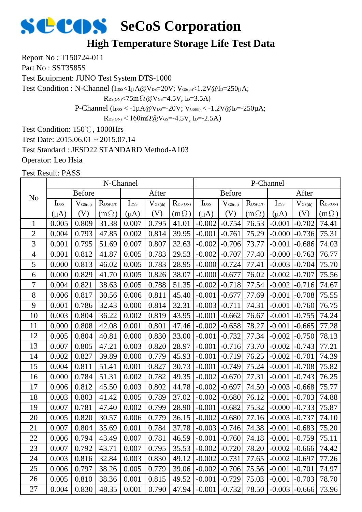#### **High Temperature Storage Life Test Data**

Report No : T150724-011

Part No: SST3585S

Test Equipment: JUNO Test System DTS-1000

Test Condition : N-Channel ( $I_{\text{DSS}}<1\mu A@V_{\text{DS}}=20V$ ;  $V_{\text{GS(th}}<1.2V@I_{\text{D}}=250\mu A$ ;

 $R_{DS(ON)}$ <75m $\Omega$  @V $_{GS}$ =4.5V, I<sub>D</sub>=3.5A)

P-Channel ( $I_{\text{DSS}} < -1 \mu A @V_{\text{DS}} = -20 V$ ;  $V_{\text{GS(th}} < -1.2 V @I_{\text{D}} = -250 \mu A$ ;

 $R_{DS(ON)}$  < 160mΩ@V<sub>GS</sub>=-4.5V, I<sub>D</sub>=-2.5A)

Test Condition: 150℃, 1000Hrs

Test Date: 2015.06.01 ~ 2015.07.14

Test Standard : JESD22 STANDARD Method-A103

Operator: Leo Hsia

|                |                  |                     | N-Channel    |                  |                     |                     | P-Channel        |              |                  |                  |                     |                            |  |
|----------------|------------------|---------------------|--------------|------------------|---------------------|---------------------|------------------|--------------|------------------|------------------|---------------------|----------------------------|--|
| N <sub>o</sub> |                  | <b>Before</b>       |              |                  | After               |                     | <b>Before</b>    |              |                  |                  | After               |                            |  |
|                | I <sub>DSS</sub> | $V_{\text{GS(th)}}$ | $R_{DS(ON)}$ | I <sub>DSS</sub> | $V_{\text{GS(th)}}$ | $R_{\text{DS(ON)}}$ | I <sub>DSS</sub> | $V_{GS(th)}$ | $R_{\rm DS(ON)}$ | I <sub>DSS</sub> | $V_{\text{GS(th)}}$ | $R_{\text{DS}(\text{ON})}$ |  |
|                | $(\mu A)$        | (V)                 | $(m\Omega)$  | $(\mu A)$        | (V)                 | $(m\Omega)$         | $(\mu A)$        | (V)          | $(m\Omega)$      | $(\mu A)$        | (V)                 | $(m\Omega)$                |  |
| $\mathbf{1}$   | 0.005            | 0.809               | 31.38        | 0.007            | 0.795               | 41.01               | $-0.002$         | $-0.754$     | 76.53            | $-0.001$         | $-0.702$            | 74.41                      |  |
| $\overline{2}$ | 0.004            | 0.793               | 47.85        | 0.002            | 0.814               | 39.95               | $-0.001$         | $-0.761$     | 75.29            | $-0.000$         | $-0.736$            | 75.31                      |  |
| 3              | 0.001            | 0.795               | 51.69        | 0.007            | 0.807               | 32.63               | $-0.002$         | $-0.706$     | 73.77            | $-0.001$         | $-0.686$            | 74.03                      |  |
| $\overline{4}$ | 0.001            | 0.812               | 41.87        | 0.005            | 0.783               | 29.53               | $-0.002$         | $-0.707$     | 77.40            | $-0.000$         | $-0.763$            | 76.77                      |  |
| 5              | 0.000            | 0.813               | 46.02        | 0.005            | 0.783               | 28.95               | $-0.000$         | $-0.724$     | 77.41            | $-0.003$         | $-0.704$            | 75.70                      |  |
| 6              | 0.000            | 0.829               | 41.70        | 0.005            | 0.826               | 38.07               | $-0.000$         | $-0.677$     | 76.02            | $-0.002$         | $-0.707$            | 75.56                      |  |
| $\overline{7}$ | 0.004            | 0.821               | 38.63        | 0.005            | 0.788               | 51.35               | $-0.002$         | $-0.718$     | 77.54            | $-0.002$         | $-0.716$            | 74.67                      |  |
| 8              | 0.006            | 0.817               | 30.56        | 0.006            | 0.811               | 45.40               | $-0.001$         | $-0.677$     | 77.69            | $-0.001$         | $-0.708$            | 75.55                      |  |
| 9              | 0.001            | 0.786               | 32.43        | 0.000            | 0.814               | 32.31               | $-0.003$         | $-0.711$     | 74.31            | $-0.001$         | $-0.760$            | 76.75                      |  |
| 10             | 0.003            | 0.804               | 36.22        | 0.002            | 0.819               | 43.95               | $-0.001$         | $-0.662$     | 76.67            | $-0.001$         | $-0.755$            | 74.24                      |  |
| 11             | 0.000            | 0.808               | 42.08        | 0.001            | 0.801               | 47.46               | $-0.002$         | $-0.658$     | 78.27            | $-0.001$         | $-0.665$            | 77.28                      |  |
| 12             | 0.005            | 0.804               | 40.81        | 0.000            | 0.830               | 33.00               | $-0.001$         | $-0.732$     | 77.34            | $-0.002$         | $-0.750$            | 78.13                      |  |
| 13             | 0.007            | 0.805               | 47.21        | 0.003            | 0.820               | 28.97               | $-0.001$         | $-0.716$     | 73.70            | $-0.002$         | $-0.743$            | 77.21                      |  |
| 14             | 0.002            | 0.827               | 39.89        | 0.000            | 0.779               | 45.93               | $-0.001$         | $-0.719$     | 76.25            | $-0.002$         | $-0.701$            | 74.39                      |  |
| 15             | 0.004            | 0.811               | 51.41        | 0.001            | 0.827               | 30.73               | $-0.001$         | $-0.749$     | 75.24            | $-0.001$         | $-0.708$            | 75.82                      |  |
| 16             | 0.000            | 0.784               | 51.31        | 0.002            | 0.782               | 49.35               | $-0.002$         | $-0.670$     | 77.31            | $-0.001$         | $-0.743$            | 76.25                      |  |
| $17\,$         | 0.006            | 0.812               | 45.50        | 0.003            | 0.802               | 44.78               | $-0.002$         | $-0.697$     | 74.50            | $-0.003$         | $-0.668$            | 75.77                      |  |
| 18             | 0.003            | 0.803               | 41.42        | 0.005            | 0.789               | 37.02               | $-0.002$         | $-0.680$     | 76.12            | $-0.001$         | $-0.703$            | 74.88                      |  |
| 19             | 0.007            | 0.781               | 47.40        | 0.002            | 0.799               | 28.90               | $-0.001$         | $-0.682$     | 75.32            | $-0.000$         | $-0.733$            | 75.87                      |  |
| 20             | 0.005            | 0.820               | 30.57        | 0.006            | 0.779               | 36.15               | $-0.002$         | $-0.680$     | 77.16            | $-0.003$         | $-0.737$            | 74.10                      |  |
| 21             | 0.007            | 0.804               | 35.69        | 0.001            | 0.784               | 37.78               | $-0.003$         | $-0.746$     | 74.38            | $-0.001$         | $-0.683$            | 75.20                      |  |
| 22             | 0.006            | 0.794               | 43.49        | 0.007            | 0.781               | 46.59               | $-0.001$         | $-0.760$     | 74.18            | $-0.001$         | $-0.759$            | 75.11                      |  |
| 23             | 0.007            | 0.792               | 43.71        | 0.007            | 0.795               | 35.53               | $-0.002$         | $-0.720$     | 78.20            | $-0.002$         | $-0.666$            | 74.42                      |  |
| 24             | 0.003            | 0.816               | 32.84        | 0.003            | 0.830               | 49.12               | $-0.002$         | $-0.731$     | 77.65            | $-0.002$         | $-0.697$            | 77.26                      |  |
| 25             | 0.006            | 0.797               | 38.26        | 0.005            | 0.779               | 39.06               | $-0.002$         | $-0.706$     | 75.56            | $-0.001$         | $-0.701$            | 74.97                      |  |
| 26             | 0.005            | 0.810               | 38.36        | 0.001            | 0.815               | 49.52               | $-0.001$         | $-0.729$     | 75.03            | $-0.001$         | $-0.703$            | 78.70                      |  |
| 27             | 0.004            | 0.830               | 48.35        | 0.001            | 0.790               | 47.94               | $-0.001$         | $-0.732$     | 78.50            | $-0.003$         | $-0.666$            | 73.96                      |  |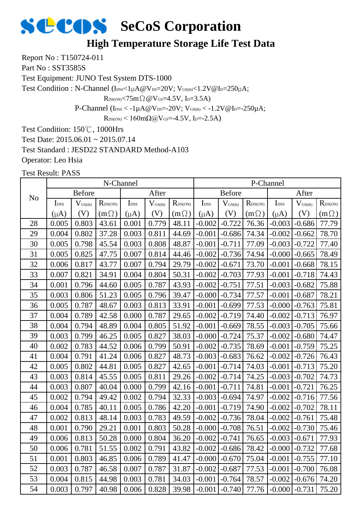#### **High Temperature Storage Life Test Data**

Report No : T150724-011

Part No: SST3585S

Test Equipment: JUNO Test System DTS-1000

Test Condition : N-Channel ( $I_{\text{DSS}}<1\mu A@V_{\text{DS}}=20V$ ;  $V_{\text{GS(th}}<1.2V@I_{\text{D}}=250\mu A$ ;

 $R_{DS(ON)}$ <75m $\Omega$  @V $_{GS}$ =4.5V, I<sub>D</sub>=3.5A)

P-Channel ( $I_{\text{DSS}} < -1 \mu A @V_{\text{DS}} = -20 V$ ;  $V_{\text{GS(th}} < -1.2 V @I_{\text{D}} = -250 \mu A$ ;

 $R_{DS(ON)}$  < 160mΩ@V<sub>GS</sub>=-4.5V, I<sub>D</sub>=-2.5A)

Test Condition: 150℃, 1000Hrs

Test Date: 2015.06.01 ~ 2015.07.14

Test Standard : JESD22 STANDARD Method-A103

Operator: Leo Hsia

|                |                  |                     | N-Channel        |                  |                     |                  |                  |                     |                     | P-Channel        |                     |                  |
|----------------|------------------|---------------------|------------------|------------------|---------------------|------------------|------------------|---------------------|---------------------|------------------|---------------------|------------------|
| N <sub>o</sub> |                  | <b>Before</b>       |                  |                  | After               |                  |                  | <b>Before</b>       |                     |                  | After               |                  |
|                | I <sub>DSS</sub> | $V_{\text{GS(th)}}$ | $R_{\rm DS(ON)}$ | I <sub>DSS</sub> | $V_{\text{GS(th)}}$ | $R_{\rm DS(ON)}$ | I <sub>DSS</sub> | $V_{\text{GS(th)}}$ | $R_{\text{DS(ON)}}$ | I <sub>DSS</sub> | $V_{\text{GS(th)}}$ | $R_{\rm DS(ON)}$ |
|                | $(\mu A)$        | (V)                 | $(m\Omega)$      | $(\mu A)$        | (V)                 | $(m\Omega)$      | $(\mu A)$        | (V)                 | $(m\Omega)$         | $(\mu A)$        | (V)                 | $(m\Omega)$      |
| 28             | 0.005            | 0.803               | 43.61            | 0.001            | 0.779               | 48.11            | $-0.002$         | $-0.722$            | 76.36               | $-0.003$         | $-0.686$            | 77.79            |
| 29             | 0.004            | 0.802               | 37.28            | 0.003            | 0.811               | 44.69            | $-0.001$         | $-0.686$            | 74.34               | $-0.002$         | $-0.662$            | 78.70            |
| 30             | 0.005            | 0.798               | 45.54            | 0.003            | 0.808               | 48.87            | $-0.001$         | $-0.711$            | 77.09               | $-0.003$         | $-0.722$            | 77.40            |
| 31             | 0.005            | 0.825               | 47.75            | 0.007            | 0.814               | 44.46            | $-0.002$         | $-0.736$            | 74.94               | $-0.000$         | $-0.665$            | 78.49            |
| 32             | 0.006            | 0.817               | 43.77            | 0.007            | 0.794               | 29.79            | $-0.002$         | $-0.671$            | 73.70               | $-0.001$         | $-0.668$            | 78.15            |
| 33             | 0.007            | 0.821               | 34.91            | 0.004            | 0.804               | 50.31            | $-0.002$         | $-0.703$            | 77.93               | $-0.001$         | $-0.718$            | 74.43            |
| 34             | 0.001            | 0.796               | 44.60            | 0.005            | 0.787               | 43.93            | $-0.002$         | $-0.751$            | 77.51               | $-0.003$         | $-0.682$            | 75.88            |
| 35             | 0.003            | 0.806               | 51.23            | 0.005            | 0.796               | 39.47            | $-0.000$         | $-0.734$            | 77.57               | $-0.001$         | $-0.687$            | 78.21            |
| 36             | 0.005            | 0.787               | 48.67            | 0.003            | 0.813               | 33.91            | $-0.001$         | $-0.699$            | 77.53               | $-0.000$         | $-0.763$            | 75.81            |
| 37             | 0.004            | 0.789               | 42.58            | 0.000            | 0.787               | 29.65            | $-0.002$         | $-0.719$            | 74.40               | $-0.002$         | $-0.713$            | 76.97            |
| 38             | 0.004            | 0.794               | 48.89            | 0.004            | 0.805               | 51.92            | $-0.001$         | $-0.669$            | 78.55               | $-0.003$         | $-0.705$            | 75.66            |
| 39             | 0.003            | 0.799               | 46.25            | 0.005            | 0.827               | 38.03            | $-0.000$         | $-0.724$            | 75.37               | $-0.002$         | $-0.680$            | 74.47            |
| 40             | 0.002            | 0.783               | 44.52            | 0.006            | 0.799               | 50.91            | $-0.002$         | $-0.735$            | 78.69               | $-0.001$         | $-0.759$            | 75.25            |
| 41             | 0.004            | 0.791               | 41.24            | 0.006            | 0.827               | 48.73            | $-0.003$         | $-0.683$            | 76.62               | $-0.002$         | $-0.726$            | 76.43            |
| 42             | 0.005            | 0.802               | 44.81            | 0.005            | 0.827               | 42.65            | $-0.001$         | $-0.714$            | 74.03               | $-0.001$         | $-0.713$            | 75.20            |
| 43             | 0.003            | 0.814               | 45.55            | 0.005            | 0.811               | 29.26            | $-0.002$         | $-0.714$            | 74.25               | $-0.003$         | $-0.702$            | 74.73            |
| 44             | 0.003            | 0.807               | 40.04            | 0.000            | 0.799               | 42.16            | $-0.001$         | $-0.711$            | 74.81               | $-0.001$         | $-0.721$            | 76.25            |
| 45             | 0.002            | 0.794               | 49.42            | 0.002            | 0.794               | 32.33            | $-0.003$         | $-0.694$            | 74.97               | $-0.002$         | $-0.716$            | 77.56            |
| 46             | 0.004            | 0.785               | 40.11            | 0.005            | 0.786               | 42.20            | $-0.001$         | $-0.719$            | 74.90               | $-0.002$         | $-0.702$            | 78.11            |
| 47             | 0.002            | 0.813               | 48.14            | 0.003            | 0.783               | 49.59            | $-0.002$         | $-0.736$            | 78.04               | $-0.002$         | $-0.761$            | 75.48            |
| 48             | 0.001            | 0.790               | 29.21            | 0.001            | 0.803               | 50.28            | $-0.000$         | $-0.708$            | 76.51               | $-0.002$         | $-0.730$            | 75.46            |
| 49             | 0.006            | 0.813               | 50.28            | 0.000            | 0.804               | 36.20            | $-0.002$         | $-0.741$            | 76.65               | $-0.003$         | $-0.671$            | 77.93            |
| 50             | 0.006            | 0.781               | 51.55            | 0.002            | 0.791               | 43.82            | $-0.002$         | $-0.686$            | 78.42               | $-0.000$         | $-0.732$            | 77.68            |
| 51             | 0.001            | 0.803               | 46.85            | 0.006            | 0.789               | 41.47            | $-0.000$         | $-0.670$            | 75.04               | $-0.001$         | $-0.755$            | 77.10            |
| 52             | 0.003            | 0.787               | 46.58            | 0.007            | 0.787               | 31.87            | $-0.002$         | $-0.687$            | 77.53               | $-0.001$         | $-0.700$            | 76.08            |
| 53             | 0.004            | 0.815               | 44.98            | 0.003            | 0.781               | 34.03            | $-0.001$         | $-0.764$            | 78.57               | $-0.002$         | $-0.676$            | 74.20            |
| 54             | 0.003            | 0.797               | 40.98            | 0.006            | 0.828               | 39.98            | $-0.001$         | $-0.740$            | 77.76               | $-0.000$         | $-0.731$            | 75.20            |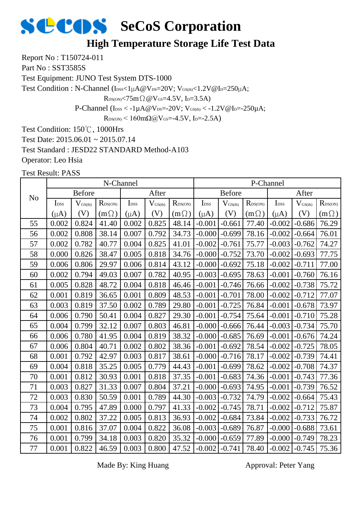#### **High Temperature Storage Life Test Data**

Report No : T150724-011

Part No: SST3585S

Test Equipment: JUNO Test System DTS-1000

Test Condition : N-Channel (IDSS<1µA@VDS=20V; VGS(th)<1.2V@ID=250µA;

 $R_{DS(ON)} < 75m\Omega$  @  $V_{GS} = 4.5V$ , I<sub>D</sub>=3.5A)

P-Channel ( $I_{\text{DSS}} < -1 \mu A @V_{\text{DS}} = -20 V$ ;  $V_{\text{GS(th}} < -1.2 V @I_{\text{D}} = -250 \mu A$ ;

 $R_{DS(ON)}$  < 160m $\Omega$ @V<sub>GS</sub>=-4.5V, I<sub>D</sub>=-2.5A)

Test Condition: 150℃, 1000Hrs

Test Date: 2015.06.01 ~ 2015.07.14

Test Standard : JESD22 STANDARD Method-A103

Operator: Leo Hsia

Test Result: PASS

|                |                  |                              | N-Channel    |                  |                     |                  |                  |                     |                  | P-Channel        |                     |                  |
|----------------|------------------|------------------------------|--------------|------------------|---------------------|------------------|------------------|---------------------|------------------|------------------|---------------------|------------------|
| N <sub>o</sub> |                  | <b>Before</b>                |              |                  | After               |                  |                  | <b>Before</b>       |                  |                  | After               |                  |
|                | I <sub>DSS</sub> | $\mathbf{V}_{\text{GS(th)}}$ | $R_{DS(ON)}$ | I <sub>DSS</sub> | $V_{\text{GS(th)}}$ | $R_{\rm DS(ON)}$ | I <sub>DSS</sub> | $V_{\text{GS(th)}}$ | $R_{\rm DS(ON)}$ | I <sub>DSS</sub> | $V_{\text{GS(th)}}$ | $R_{\rm DS(ON)}$ |
|                | $(\mu A)$        | (V)                          | $(m\Omega)$  | $(\mu A)$        | (V)                 | $(m\Omega)$      | $(\mu A)$        | (V)                 | $(m\Omega)$      | $(\mu A)$        | (V)                 | $(m\Omega)$      |
| 55             | 0.002            | 0.824                        | 41.40        | 0.002            | 0.825               | 48.14            | $-0.001$         | $-0.661$            | 77.40            | $-0.002$         | $-0.686$            | 76.29            |
| 56             | 0.002            | 0.808                        | 38.14        | 0.007            | 0.792               | 34.73            | $-0.000$         | $-0.699$            | 78.16            | $-0.002$         | $-0.664$            | 76.01            |
| 57             | 0.002            | 0.782                        | 40.77        | 0.004            | 0.825               | 41.01            | $-0.002$         | $-0.761$            | 75.77            | $-0.003$         | $-0.762$            | 74.27            |
| 58             | 0.000            | 0.826                        | 38.47        | 0.005            | 0.818               | 34.76            | $-0.000$         | $-0.752$            | 73.70            | $-0.002$         | $-0.693$            | 77.75            |
| 59             | 0.006            | 0.806                        | 29.97        | 0.006            | 0.814               | 43.12            | $-0.000$         | $-0.692$            | 75.18            | $-0.002$         | $-0.711$            | 77.00            |
| 60             | 0.002            | 0.794                        | 49.03        | 0.007            | 0.782               | 40.95            | $-0.003$         | $-0.695$            | 78.63            | $-0.001$         | $-0.760$            | 76.16            |
| 61             | 0.005            | 0.828                        | 48.72        | 0.004            | 0.818               | 46.46            | $-0.001$         | $-0.746$            | 76.66            | $-0.002$         | $-0.738$            | 75.72            |
| 62             | 0.001            | 0.819                        | 36.65        | 0.001            | 0.809               | 48.53            | $-0.001$         | $-0.701$            | 78.00            | $-0.002$         | $-0.712$            | 77.07            |
| 63             | 0.003            | 0.819                        | 37.50        | 0.002            | 0.789               | 29.80            | $-0.001$         | $-0.725$            | 76.84            | $-0.001$         | $-0.678$            | 73.97            |
| 64             | 0.006            | 0.790                        | 50.41        | 0.004            | 0.827               | 29.30            | $-0.001$         | $-0.754$            | 75.64            | $-0.001$         | $-0.710$            | 75.28            |
| 65             | 0.004            | 0.799                        | 32.12        | 0.007            | 0.803               | 46.81            | $-0.000$         | $-0.666$            | 76.44            | $-0.003$         | $-0.734$            | 75.70            |
| 66             | 0.006            | 0.780                        | 41.95        | 0.004            | 0.819               | 38.32            | $-0.000$         | $-0.685$            | 76.69            | $-0.001$         | $-0.676$            | 74.24            |
| 67             | 0.006            | 0.804                        | 40.71        | 0.002            | 0.802               | 38.36            | $-0.001$         | $-0.692$            | 78.54            | $-0.002$         | $-0.725$            | 78.05            |
| 68             | 0.001            | 0.792                        | 42.97        | 0.003            | 0.817               | 38.61            | $-0.000$         | $-0.716$            | 78.17            | $-0.002$         | $-0.739$            | 74.41            |
| 69             | 0.004            | 0.818                        | 35.25        | 0.005            | 0.779               | 44.43            | $-0.001$         | $-0.699$            | 78.62            | $-0.002$         | $-0.708$            | 74.37            |
| 70             | 0.001            | 0.812                        | 30.93        | 0.001            | 0.818               | 37.35            | $-0.001$         | $-0.683$            | 74.36            | $-0.001$         | $-0.743$            | 77.36            |
| 71             | 0.003            | 0.827                        | 31.33        | 0.007            | 0.804               | 37.21            | $-0.000$         | $-0.693$            | 74.95            | $-0.001$         | $-0.739$            | 76.52            |
| 72             | 0.003            | 0.830                        | 50.59        | 0.001            | 0.789               | 44.30            | $-0.003$         | $-0.732$            | 74.79            | $-0.002$         | $-0.664$            | 75.43            |
| 73             | 0.004            | 0.795                        | 47.89        | 0.000            | 0.797               | 41.33            | $-0.002$         | $-0.745$            | 78.71            | $-0.002$         | $-0.712$            | 75.87            |
| 74             | 0.002            | 0.802                        | 37.22        | 0.005            | 0.813               | 36.93            | $-0.002$         | $-0.684$            | 73.84            | $-0.002$         | $-0.733$            | 76.72            |
| 75             | 0.001            | 0.816                        | 37.07        | 0.004            | 0.822               | 36.08            | $-0.003$         | $-0.689$            | 76.87            | $-0.000$         | $-0.688$            | 73.61            |
| 76             | 0.001            | 0.799                        | 34.18        | 0.003            | 0.820               | 35.32            | $-0.000$         | $-0.659$            | 77.89            | $-0.000$         | $-0.749$            | 78.23            |
| 77             | 0.001            | 0.822                        | 46.59        | 0.003            | 0.800               | 47.52            | $-0.002$         | $-0.741$            | 78.40            | $-0.002$         | $-0.745$            | 75.36            |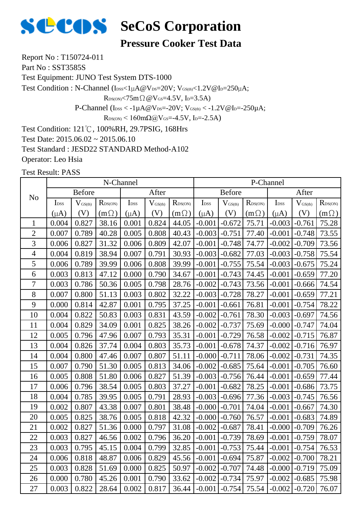

**Pressure Cooker Test Data**

Report No : T150724-011

Part No: SST3585S

Test Equipment: JUNO Test System DTS-1000

Test Condition : N-Channel (IDSS<1µA@VDS=20V; VGS(th)<1.2V@ID=250µA;

 $R_{DS(ON)}$ <75m $\Omega$  @V $_{GS}$ =4.5V, I<sub>D</sub>=3.5A)

P-Channel ( $I_{\text{DSS}} < -1 \mu A @V_{\text{DS}} = -20 V$ ;  $V_{\text{GS(th}} < -1.2 V @I_{\text{D}} = -250 \mu A$ ;

 $R_{DS(ON)}$  < 160mΩ@V<sub>GS</sub>=-4.5V, I<sub>D</sub>=-2.5A)

Test Condition: 121℃, 100%RH, 29.7PSIG, 168Hrs

Test Date: 2015.06.02 ~ 2015.06.10

Test Standard : JESD22 STANDARD Method-A102

Operator: Leo Hsia

|                |                  |                     | N-Channel           |                  |                     |                            |                  |                     |                     | P-Channel        |                     |                  |
|----------------|------------------|---------------------|---------------------|------------------|---------------------|----------------------------|------------------|---------------------|---------------------|------------------|---------------------|------------------|
| N <sub>o</sub> |                  | <b>Before</b>       |                     |                  | After               |                            |                  | <b>Before</b>       |                     |                  | After               |                  |
|                | I <sub>DSS</sub> | $V_{\text{GS(th)}}$ | $R_{\text{DS(ON)}}$ | I <sub>DSS</sub> | $V_{\text{GS(th)}}$ | $R_{\text{DS}(\text{ON})}$ | I <sub>DSS</sub> | $V_{\text{GS(th)}}$ | $R_{\text{DS(ON)}}$ | I <sub>DSS</sub> | $V_{\text{GS(th)}}$ | $R_{\rm DS(ON)}$ |
|                | $(\mu A)$        | (V)                 | $(m\Omega)$         | $(\mu A)$        | (V)                 | $(m\Omega)$                | $(\mu A)$        | (V)                 | $(m\Omega)$         | $(\mu A)$        | (V)                 | $(m\Omega)$      |
| $\mathbf{1}$   | 0.004            | 0.827               | 38.16               | 0.001            | 0.824               | 44.05                      | $-0.001$         | $-0.672$            | 75.71               | $-0.003$         | $-0.761$            | 75.28            |
| $\overline{2}$ | 0.007            | 0.789               | 40.28               | 0.005            | 0.808               | 40.43                      | $-0.003$         | $-0.751$            | 77.40               | $-0.001$         | $-0.748$            | 73.55            |
| $\overline{3}$ | 0.006            | 0.827               | 31.32               | 0.006            | 0.809               | 42.07                      | $-0.001$         | $-0.748$            | 74.77               | $-0.002$         | $-0.709$            | 73.56            |
| $\overline{4}$ | 0.004            | 0.819               | 38.94               | 0.007            | 0.791               | 30.93                      | $-0.003$         | $-0.682$            | 77.03               | $-0.003$         | $-0.758$            | 75.54            |
| 5              | 0.006            | 0.789               | 39.99               | 0.006            | 0.808               | 39.99                      | $-0.001$         | $-0.755$            | 75.54               | $-0.003$         | $-0.675$            | 75.24            |
| 6              | 0.003            | 0.813               | 47.12               | 0.000            | 0.790               | 34.67                      | $-0.001$         | $-0.743$            | 74.45               | $-0.001$         | $-0.659$            | 77.20            |
| $\tau$         | 0.003            | 0.786               | 50.36               | 0.005            | 0.798               | 28.76                      | $-0.002$         | $-0.743$            | 73.56               | $-0.001$         | $-0.666$            | 74.54            |
| 8              | 0.007            | 0.800               | 51.13               | 0.003            | 0.802               | 32.22                      | $-0.003$         | $-0.728$            | 78.27               | $-0.001$         | $-0.659$            | 77.21            |
| 9              | 0.000            | 0.814               | 42.87               | 0.001            | 0.795               | 37.25                      | $-0.001$         | $-0.661$            | 76.81               | $-0.001$         | $-0.754$            | 78.22            |
| 10             | 0.004            | 0.822               | 50.83               | 0.003            | 0.831               | 43.59                      | $-0.002$         | $-0.761$            | 78.30               | $-0.003$         | $-0.697$            | 74.56            |
| 11             | 0.004            | 0.829               | 34.09               | 0.001            | 0.825               | 38.26                      | $-0.002$         | $-0.737$            | 75.69               | $-0.000$         | $-0.747$            | 74.04            |
| 12             | 0.005            | 0.796               | 47.96               | 0.007            | 0.793               | 35.31                      | $-0.001$         | $-0.729$            | 76.58               | $-0.002$         | $-0.715$            | 76.87            |
| 13             | 0.004            | 0.826               | 37.74               | 0.004            | 0.803               | 35.73                      | $-0.001$         | $-0.678$            | 74.37               | $-0.002$         | $-0.716$            | 76.97            |
| 14             | 0.004            | 0.800               | 47.46               | 0.007            | 0.807               | 51.11                      | $-0.000$         | $-0.711$            | 78.06               | $-0.002$         | $-0.731$            | 74.35            |
| 15             | 0.007            | 0.790               | 51.30               | 0.005            | 0.813               | 34.06                      | $-0.002$         | $-0.685$            | 75.64               | $-0.001$         | $-0.705$            | 76.60            |
| 16             | 0.005            | 0.808               | 51.80               | 0.006            | 0.827               | 51.39                      | $-0.003$         | $-0.756$            | 76.44               | $-0.001$         | $-0.659$            | 77.44            |
| 17             | 0.006            | 0.796               | 38.54               | 0.005            | 0.803               | 37.27                      | $-0.001$         | $-0.682$            | 78.25               | $-0.001$         | $-0.686$            | 73.75            |
| 18             | 0.004            | 0.785               | 39.95               | 0.005            | 0.791               | 28.93                      | $-0.003$         | $-0.696$            | 77.36               | $-0.003$         | $-0.745$            | 76.56            |
| 19             | 0.002            | 0.807               | 43.38               | 0.007            | 0.801               | 38.48                      | $-0.000$         | $-0.701$            | 74.04               | $-0.001$         | $-0.667$            | 74.30            |
| 20             | 0.005            | 0.825               | 38.76               | 0.005            | 0.818               | 42.32                      | $-0.000$         | $-0.760$            | 76.57               | $-0.001$         | $-0.683$            | 74.89            |
| 21             | 0.002            | 0.827               | 51.36               | 0.000            | 0.797               | 31.08                      | $-0.002$         | $-0.687$            | 78.41               | $-0.000$         | $-0.709$            | 76.26            |
| 22             | 0.003            | 0.827               | 46.56               | 0.002            | 0.796               | 36.20                      | $-0.001$         | $-0.739$            | 78.69               | $-0.001$         | $-0.759$            | 78.07            |
| 23             | 0.003            | 0.795               | 45.15               | 0.004            | 0.799               | 32.85                      | $-0.001$         | $-0.753$            | 75.44               | $-0.001$         | $-0.754$            | 76.53            |
| 24             | 0.006            | 0.818               | 48.87               | 0.006            | 0.829               | 45.56                      | $-0.001$         | $-0.694$            | 75.87               | $-0.002$         | $-0.700$            | 78.21            |
| 25             | 0.003            | 0.828               | 51.69               | 0.000            | 0.825               | 50.97                      | $-0.002$         | $-0.707$            | 74.48               | $-0.000$         | $-0.719$            | 75.09            |
| 26             | 0.000            | 0.780               | 45.26               | 0.001            | 0.790               | 33.62                      | $-0.002$         | $-0.734$            | 75.97               | $-0.002$         | $-0.685$            | 75.98            |
| 27             | 0.003            | 0.822               | 28.64               | 0.002            | 0.817               | 36.44                      | $-0.001$         | $-0.754$            | 75.54               | $-0.002$         | $-0.720$            | 76.07            |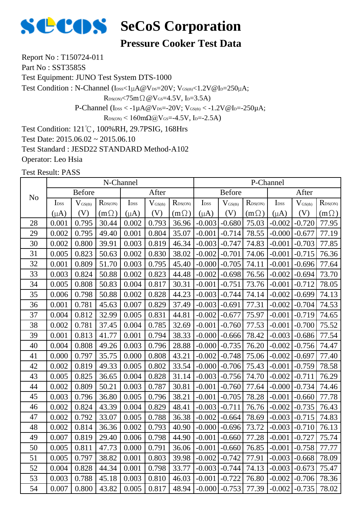

**Pressure Cooker Test Data**

Report No : T150724-011

Part No: SST3585S

Test Equipment: JUNO Test System DTS-1000

Test Condition : N-Channel (IDSS<1µA@VDS=20V; VGS(th)<1.2V@ID=250µA;

 $R_{DS(ON)}$ <75m $\Omega$  @V $_{GS}$ =4.5V, I<sub>D</sub>=3.5A)

P-Channel ( $I_{\text{DSS}} < -1 \mu A @V_{\text{DS}} = -20 V$ ;  $V_{\text{GS(th}} < -1.2 V @I_{\text{D}} = -250 \mu A$ ;

 $R_{DS(ON)}$  < 160mΩ@V<sub>GS</sub>=-4.5V, I<sub>D</sub>=-2.5A)

Test Condition: 121℃, 100%RH, 29.7PSIG, 168Hrs

Test Date: 2015.06.02 ~ 2015.06.10

Test Standard : JESD22 STANDARD Method-A102

Operator: Leo Hsia

|                |                  |                     | N-Channel           |                  |                     |                  |                  |                     |                  | P-Channel        |                     |                  |
|----------------|------------------|---------------------|---------------------|------------------|---------------------|------------------|------------------|---------------------|------------------|------------------|---------------------|------------------|
| N <sub>o</sub> |                  | <b>Before</b>       |                     |                  | After               |                  |                  | <b>Before</b>       |                  |                  | After               |                  |
|                | I <sub>DSS</sub> | $V_{\text{GS(th)}}$ | $R_{\text{DS(ON)}}$ | I <sub>DSS</sub> | $V_{\text{GS(th)}}$ | $R_{\rm DS(ON)}$ | I <sub>DSS</sub> | $V_{\text{GS(th)}}$ | $R_{\rm DS(ON)}$ | I <sub>DSS</sub> | $V_{\text{GS(th)}}$ | $R_{\rm DS(ON)}$ |
|                | $(\mu A)$        | (V)                 | $(m\Omega)$         | $(\mu A)$        | (V)                 | $(m \Omega)$     | $(\mu A)$        | (V)                 | $(m\Omega)$      | $(\mu A)$        | (V)                 | $(m \Omega)$     |
| 28             | 0.001            | 0.795               | 30.44               | 0.002            | 0.793               | 36.96            | $-0.003$         | $-0.680$            | 75.03            | $-0.002$         | $-0.720$            | 77.95            |
| 29             | 0.002            | 0.795               | 49.40               | 0.001            | 0.804               | 35.07            | $-0.001$         | $-0.714$            | 78.55            | $-0.000$         | $-0.677$            | 77.19            |
| 30             | 0.002            | 0.800               | 39.91               | 0.003            | 0.819               | 46.34            | $-0.003$         | $-0.747$            | 74.83            | $-0.001$         | $-0.703$            | 77.85            |
| 31             | 0.005            | 0.823               | 50.63               | 0.002            | 0.830               | 38.02            | $-0.002$         | $-0.701$            | 74.06            | $-0.001$         | $-0.715$            | 76.36            |
| 32             | 0.001            | 0.809               | 51.70               | 0.003            | 0.795               | 45.40            | $-0.000$         | $-0.705$            | 74.11            | $-0.001$         | $-0.696$            | 77.64            |
| 33             | 0.003            | 0.824               | 50.88               | 0.002            | 0.823               | 44.48            | $-0.002$         | $-0.698$            | 76.56            | $-0.002$         | $-0.694$            | 73.70            |
| 34             | 0.005            | 0.808               | 50.83               | 0.004            | 0.817               | 30.31            | $-0.001$         | $-0.751$            | 73.76            | $-0.001$         | $-0.712$            | 78.05            |
| 35             | 0.006            | 0.798               | 50.88               | 0.002            | 0.828               | 44.23            | $-0.003$         | $-0.744$            | 74.14            | $-0.002$         | $-0.699$            | 74.13            |
| 36             | 0.001            | 0.781               | 45.63               | 0.007            | 0.829               | 37.49            | $-0.003$         | $-0.691$            | 77.31            | $-0.002$         | $-0.704$            | 74.53            |
| 37             | 0.004            | 0.812               | 32.99               | 0.005            | 0.831               | 44.81            | $-0.002$         | $-0.677$            | 75.97            | $-0.001$         | $-0.719$            | 74.65            |
| 38             | 0.002            | 0.781               | 37.45               | 0.004            | 0.785               | 32.69            | $-0.001$         | $-0.760$            | 77.53            | $-0.001$         | $-0.700$            | 75.52            |
| 39             | 0.001            | 0.813               | 41.77               | 0.001            | 0.794               | 38.33            | $-0.000$         | $-0.666$            | 78.42            | $-0.003$         | $-0.686$            | 77.54            |
| 40             | 0.004            | 0.808               | 49.26               | 0.003            | 0.796               | 28.88            | $-0.000$         | $-0.735$            | 76.20            | $-0.002$         | $-0.756$            | 74.47            |
| 41             | 0.000            | 0.797               | 35.75               | 0.000            | 0.808               | 43.21            | $-0.002$         | $-0.748$            | 75.06            | $-0.002$         | $-0.697$            | 77.40            |
| 42             | 0.002            | 0.819               | 49.33               | 0.005            | 0.802               | 33.54            | $-0.000$         | $-0.706$            | 75.43            | $-0.001$         | $-0.759$            | 78.58            |
| 43             | 0.005            | 0.825               | 36.65               | 0.004            | 0.828               | 31.14            | $-0.003$         | $-0.756$            | 74.70            | $-0.002$         | $-0.711$            | 76.29            |
| 44             | 0.002            | 0.809               | 50.21               | 0.003            | 0.787               | 30.81            | $-0.001$         | $-0.760$            | 77.64            | $-0.000$         | $-0.734$            | 74.46            |
| 45             | 0.003            | 0.796               | 36.80               | 0.005            | 0.796               | 38.21            | $-0.001$         | $-0.705$            | 78.28            | $-0.001$         | $-0.660$            | 77.78            |
| 46             | 0.002            | 0.824               | 43.39               | 0.004            | 0.829               | 48.41            | $-0.003$         | $-0.711$            | 76.76            | $-0.002$         | $-0.735$            | 76.43            |
| 47             | 0.002            | 0.792               | 33.07               | 0.005            | 0.788               | 36.38            | $-0.002$         | $-0.664$            | 78.69            | $-0.003$         | $-0.715$            | 74.83            |
| 48             | 0.002            | 0.814               | 36.36               | 0.002            | 0.793               | 40.90            | $-0.000$         | $-0.696$            | 73.72            | $-0.003$         | $-0.710$            | 76.13            |
| 49             | 0.007            | 0.819               | 29.40               | 0.006            | 0.798               | 44.90            | $-0.001$         | $-0.660$            | 77.28            | $-0.001$         | $-0.727$            | 75.74            |
| 50             | 0.005            | 0.811               | 47.73               | 0.000            | 0.791               | 36.06            | $-0.001$         | $-0.660$            | 76.85            | $-0.001$         | $-0.758$            | 77.77            |
| 51             | 0.005            | 0.797               | 38.82               | 0.001            | 0.803               | 39.98            | $-0.002$         | $-0.742$            | 77.91            | $-0.003$         | $-0.668$            | 78.09            |
| 52             | 0.004            | 0.828               | 44.34               | 0.001            | 0.798               | 33.77            | $-0.003$         | $-0.744$            | 74.13            | $-0.003$         | $-0.673$            | 75.47            |
| 53             | 0.003            | 0.788               | 45.18               | 0.003            | 0.810               | 46.03            | $-0.001$         | $-0.722$            | 76.80            | $-0.002$         | $-0.706$            | 78.36            |
| 54             | 0.007            | 0.800               | 43.82               | 0.005            | 0.817               | 48.94            | $-0.000$         | $-0.753$            | 77.39            | $-0.002$         | $-0.735$            | 78.02            |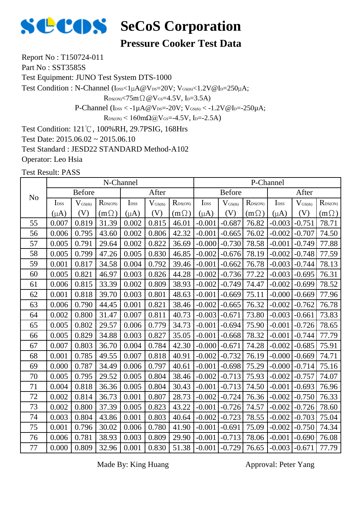

**Pressure Cooker Test Data**

Report No : T150724-011

Part No: SST3585S

Test Equipment: JUNO Test System DTS-1000

Test Condition : N-Channel (Ibss<1µA@Vps=20V; VGS(th)<1.2V@Ip=250µA;

 $R_{DS(ON)}$ <75m $\Omega$  @V $_{GS}$ =4.5V, I<sub>D</sub>=3.5A)

P-Channel ( $I_{\text{DSS}} < -1 \mu A @V_{\text{DS}} = -20 V$ ;  $V_{\text{GS(th}} < -1.2 V @I_{\text{D}} = -250 \mu A$ ;

 $R_{DS(ON)}$  < 160mΩ@V<sub>GS</sub>=-4.5V, I<sub>D</sub>=-2.5A)

Test Condition: 121℃, 100%RH, 29.7PSIG, 168Hrs

Test Date: 2015.06.02 ~ 2015.06.10

Test Standard : JESD22 STANDARD Method-A102

Operator: Leo Hsia

Test Result: PASS

|                |                  |                     | N-Channel        |                  |                     |                            |                  |                              |              | P-Channel        |                              |                  |
|----------------|------------------|---------------------|------------------|------------------|---------------------|----------------------------|------------------|------------------------------|--------------|------------------|------------------------------|------------------|
| N <sub>o</sub> |                  | <b>Before</b>       |                  |                  | After               |                            |                  | <b>Before</b>                |              |                  | After                        |                  |
|                | I <sub>DSS</sub> | $V_{\text{GS(th)}}$ | $R_{\rm DS(ON)}$ | I <sub>DSS</sub> | $V_{\text{GS(th)}}$ | $R_{\text{DS}(\text{ON})}$ | I <sub>DSS</sub> | $\mathbf{V}_{\text{GS(th)}}$ | $R_{DS(ON)}$ | I <sub>DSS</sub> | $\mathbf{V}_{\text{GS(th)}}$ | $R_{\rm DS(ON)}$ |
|                | $(\mu A)$        | (V)                 | $(m\Omega)$      | $(\mu A)$        | (V)                 | $(m\Omega)$                | $(\mu A)$        | (V)                          | $(m\Omega)$  | $(\mu A)$        | (V)                          | $(m\Omega)$      |
| 55             | 0.007            | 0.819               | 31.39            | 0.002            | 0.815               | 46.01                      | $-0.001$         | $-0.687$                     | 76.82        | $-0.003$         | $-0.751$                     | 78.71            |
| 56             | 0.006            | 0.795               | 43.60            | 0.002            | 0.806               | 42.32                      | $-0.001$         | $-0.665$                     | 76.02        | $-0.002$         | $-0.707$                     | 74.50            |
| 57             | 0.005            | 0.791               | 29.64            | 0.002            | 0.822               | 36.69                      | $-0.000$         | $-0.730$                     | 78.58        | $-0.001$         | $-0.749$                     | 77.88            |
| 58             | 0.005            | 0.799               | 47.26            | 0.005            | 0.830               | 46.85                      | $-0.002$         | $-0.676$                     | 78.19        | $-0.002$         | $-0.748$                     | 77.59            |
| 59             | 0.001            | 0.817               | 34.58            | 0.004            | 0.792               | 39.46                      | $-0.001$         | $-0.662$                     | 76.78        | $-0.003$         | $-0.744$                     | 78.13            |
| 60             | 0.005            | 0.821               | 46.97            | 0.003            | 0.826               | 44.28                      | $-0.002$         | $-0.736$                     | 77.22        | $-0.003$         | $-0.695$                     | 76.31            |
| 61             | 0.006            | 0.815               | 33.39            | 0.002            | 0.809               | 38.93                      | $-0.002$         | $-0.749$                     | 74.47        | $-0.002$         | $-0.699$                     | 78.52            |
| 62             | 0.001            | 0.818               | 39.70            | 0.003            | 0.801               | 48.63                      | $-0.001$         | $-0.669$                     | 75.11        | $-0.000$         | $-0.669$                     | 77.96            |
| 63             | 0.006            | 0.790               | 44.45            | 0.001            | 0.821               | 38.46                      | $-0.002$         | $-0.665$                     | 76.32        | $-0.002$         | $-0.762$                     | 76.78            |
| 64             | 0.002            | 0.800               | 31.47            | 0.007            | 0.811               | 40.73                      | $-0.003$         | $-0.671$                     | 73.80        | $-0.003$         | $-0.661$                     | 73.83            |
| 65             | 0.005            | 0.802               | 29.57            | 0.006            | 0.779               | 34.73                      | $-0.001$         | $-0.694$                     | 75.90        | $-0.001$         | $-0.726$                     | 78.65            |
| 66             | 0.005            | 0.829               | 34.88            | 0.003            | 0.827               | 35.05                      | $-0.001$         | $-0.668$                     | 78.32        | $-0.001$         | $-0.744$                     | 77.79            |
| 67             | 0.007            | 0.803               | 36.70            | 0.004            | 0.784               | 42.30                      | $-0.000$         | $-0.671$                     | 74.28        | $-0.002$         | $-0.685$                     | 75.91            |
| 68             | 0.001            | 0.785               | 49.55            | 0.007            | 0.818               | 40.91                      | $-0.002$         | $-0.732$                     | 76.19        | $-0.000$         | $-0.669$                     | 74.71            |
| 69             | 0.000            | 0.787               | 34.49            | 0.006            | 0.797               | 40.61                      | $-0.001$         | $-0.698$                     | 75.29        | $-0.000$         | $-0.714$                     | 75.16            |
| 70             | 0.005            | 0.795               | 29.52            | 0.005            | 0.804               | 38.46                      | $-0.002$         | $-0.713$                     | 75.93        | $-0.002$         | $-0.757$                     | 74.07            |
| 71             | 0.004            | 0.818               | 36.36            | 0.005            | 0.804               | 30.43                      | $-0.001$         | $-0.713$                     | 74.50        | $-0.001$         | $-0.693$                     | 76.96            |
| $72\,$         | 0.002            | 0.814               | 36.73            | 0.001            | 0.807               | 28.73                      | $-0.002$         | $-0.724$                     | 76.36        | $-0.002$         | $-0.750$                     | 76.33            |
| 73             | 0.002            | 0.800               | 37.39            | 0.005            | 0.823               | 43.22                      | $-0.001$         | $-0.726$                     | 74.57        | $-0.002$         | $-0.726$                     | 78.60            |
| 74             | 0.003            | 0.804               | 43.86            | 0.001            | 0.803               | 40.64                      | $-0.002$         | $-0.723$                     | 78.55        | $-0.002$         | $-0.703$                     | 75.04            |
| 75             | 0.001            | 0.796               | 30.02            | 0.006            | 0.780               | 41.90                      | $-0.001$         | $-0.691$                     | 75.09        | $-0.002$         | $-0.750$                     | 74.34            |
| 76             | 0.006            | 0.781               | 38.93            | 0.003            | 0.809               | 29.90                      | $-0.001$         | $-0.713$                     | 78.06        | $-0.001$         | $-0.690$                     | 76.08            |
| 77             | 0.000            | 0.809               | 32.96            | 0.001            | 0.830               | 51.38                      | $-0.001$         | $-0.729$                     | 76.65        | $-0.003$         | $-0.671$                     | 77.79            |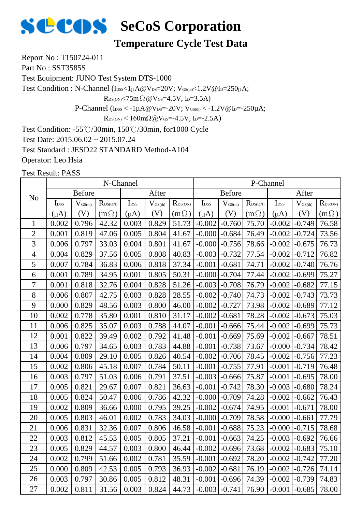

#### **Temperature Cycle Test Data**

Report No : T150724-011

Part No: SST3585S

Test Equipment: JUNO Test System DTS-1000

Test Condition : N-Channel ( $I_{\text{DSS}}<1\mu A@V_{\text{DS}}=20V$ ;  $V_{\text{GS(th}}<1.2V@I_{\text{D}}=250\mu A$ ;

 $R_{DS(ON)}$ <75m $\Omega$  @V $_{GS}$ =4.5V, I<sub>D</sub>=3.5A)

P-Channel ( $I_{\text{DSS}} < -1 \mu A @V_{\text{DS}} = -20 V$ ;  $V_{\text{GS(th}} < -1.2 V @I_{\text{D}} = -250 \mu A$ ;

 $R_{DS(ON)}$  < 160mΩ@V<sub>GS</sub>=-4.5V, I<sub>D</sub>=-2.5A)

Test Condition: -55℃/30min, 150℃/30min, for1000 Cycle

Test Date: 2015.06.02 ~ 2015.07.24

Test Standard : JESD22 STANDARD Method-A104

Operator: Leo Hsia

|                |                  |                     | N-Channel           |                  |                     |                  |                  |                     |                  | P-Channel        |                     |                  |
|----------------|------------------|---------------------|---------------------|------------------|---------------------|------------------|------------------|---------------------|------------------|------------------|---------------------|------------------|
| N <sub>o</sub> |                  | <b>Before</b>       |                     |                  | After               |                  |                  | <b>Before</b>       |                  |                  | After               |                  |
|                | I <sub>DSS</sub> | $V_{\text{GS(th)}}$ | $R_{\text{DS(ON)}}$ | I <sub>DSS</sub> | $V_{\text{GS(th)}}$ | $R_{\rm DS(ON)}$ | I <sub>DSS</sub> | $V_{\text{GS(th)}}$ | $R_{\rm DS(ON)}$ | I <sub>DSS</sub> | $V_{\text{GS(th)}}$ | $R_{\rm DS(ON)}$ |
|                | $(\mu A)$        | (V)                 | $(m\Omega)$         | $(\mu A)$        | (V)                 | $(m\Omega)$      | $(\mu A)$        | (V)                 | $(m \Omega)$     | $(\mu A)$        | (V)                 | $(m\Omega)$      |
| $\mathbf{1}$   | 0.002            | 0.796               | 42.32               | 0.003            | 0.829               | 51.73            | $-0.002$         | $-0.760$            | 75.70            | $-0.002$         | $-0.749$            | 76.58            |
| $\overline{c}$ | 0.001            | 0.819               | 47.06               | 0.005            | 0.804               | 41.67            | $-0.000$         | $-0.684$            | 76.49            | $-0.002$         | $-0.724$            | 73.56            |
| 3              | 0.006            | 0.797               | 33.03               | 0.004            | 0.801               | 41.67            | $-0.000$         | $-0.756$            | 78.66            | $-0.002$         | $-0.675$            | 76.73            |
| $\overline{4}$ | 0.004            | 0.829               | 37.56               | 0.005            | 0.808               | 40.83            | $-0.003$         | $-0.732$            | 77.54            | $-0.002$         | $-0.712$            | 76.82            |
| 5              | 0.007            | 0.784               | 36.83               | 0.006            | 0.818               | 37.34            | $-0.001$         | $-0.681$            | 74.71            | $-0.002$         | $-0.740$            | 76.76            |
| 6              | 0.001            | 0.789               | 34.95               | 0.001            | 0.805               | 50.31            | $-0.000$         | $-0.704$            | 77.44            | $-0.002$         | $-0.699$            | 75.27            |
| 7              | 0.001            | 0.818               | 32.76               | 0.004            | 0.828               | 51.26            | $-0.003$         | $-0.708$            | 76.79            | $-0.002$         | $-0.682$            | 77.15            |
| 8              | 0.006            | 0.807               | 42.75               | 0.003            | 0.828               | 28.55            | $-0.002$         | $-0.740$            | 74.73            | $-0.002$         | $-0.743$            | 73.73            |
| 9              | 0.000            | 0.829               | 48.56               | 0.003            | 0.800               | 46.00            | $-0.002$         | $-0.727$            | 73.98            | $-0.002$         | $-0.689$            | 77.12            |
| 10             | 0.002            | 0.778               | 35.80               | 0.001            | 0.810               | 31.17            | $-0.002$         | $-0.681$            | 78.28            | $-0.002$         | $-0.673$            | 75.03            |
| 11             | 0.006            | 0.825               | 35.07               | 0.003            | 0.788               | 44.07            | $-0.001$         | $-0.666$            | 75.44            | $-0.002$         | $-0.699$            | 75.73            |
| 12             | 0.001            | 0.822               | 39.49               | 0.002            | 0.792               | 41.48            | $-0.001$         | $-0.669$            | 75.69            | $-0.002$         | $-0.667$            | 78.51            |
| 13             | 0.006            | 0.797               | 34.65               | 0.003            | 0.783               | 44.88            | $-0.001$         | $-0.738$            | 73.67            | $-0.000$         | $-0.734$            | 78.42            |
| 14             | 0.004            | 0.809               | 29.10               | 0.005            | 0.826               | 40.54            | $-0.002$         | $-0.706$            | 78.45            | $-0.002$         | $-0.756$            | 77.23            |
| 15             | 0.002            | 0.806               | 45.18               | 0.007            | 0.784               | 50.11            | $-0.001$         | $-0.755$            | 77.91            | $-0.001$         | $-0.719$            | 76.48            |
| 16             | 0.003            | 0.797               | 51.03               | 0.006            | 0.791               | 37.51            | $-0.003$         | $-0.666$            | 75.87            | $-0.001$         | $-0.695$            | 78.00            |
| 17             | 0.005            | 0.821               | 29.67               | 0.007            | 0.821               | 36.63            | $-0.001$         | $-0.742$            | 78.30            | $-0.003$         | $-0.680$            | 78.24            |
| 18             | 0.005            | 0.824               | 50.47               | 0.006            | 0.786               | 42.32            | $-0.000$         | $-0.709$            | 74.28            | $-0.002$         | $-0.662$            | 76.43            |
| 19             | 0.002            | 0.809               | 36.66               | 0.000            | 0.795               | 39.25            | $-0.002$         | $-0.674$            | 74.95            | $-0.001$         | $-0.671$            | 78.00            |
| 20             | 0.005            | 0.803               | 46.01               | 0.002            | 0.783               | 34.03            | $-0.000$         | $-0.709$            | 78.58            | $-0.000$         | $-0.661$            | 77.79            |
| 21             | 0.006            | 0.831               | 32.36               | 0.007            | 0.806               | 46.58            | $-0.001$         | $-0.688$            | 75.23            | $-0.000$         | $-0.715$            | 78.68            |
| 22             | 0.003            | 0.812               | 45.53               | 0.005            | 0.805               | 37.21            | $-0.001$         | $-0.663$            | 74.25            | $-0.003$         | $-0.692$            | 76.66            |
| 23             | 0.005            | 0.829               | 44.57               | 0.003            | 0.800               | 46.44            | $-0.002$         | $-0.696$            | 73.68            | $-0.002$         | $-0.683$            | 75.10            |
| 24             | 0.002            | 0.799               | 51.66               | 0.002            | 0.781               | 35.59            | $-0.001$         | $-0.692$            | 78.20            | $-0.002$         | $-0.742$            | 77.20            |
| 25             | 0.000            | 0.809               | 42.53               | 0.005            | 0.793               | 36.93            | $-0.002$         | $-0.681$            | 76.19            | $-0.002$         | $-0.726$            | 74.14            |
| 26             | 0.003            | 0.797               | 30.86               | 0.005            | 0.812               | 48.31            | $-0.001$         | $-0.696$            | 74.39            | $-0.002$         | $-0.739$            | 74.83            |
| 27             | 0.002            | 0.811               | 31.56               | 0.003            | 0.824               | 44.73            | $-0.003$         | $-0.741$            | 76.90            | $-0.001$         | $-0.685$            | 78.00            |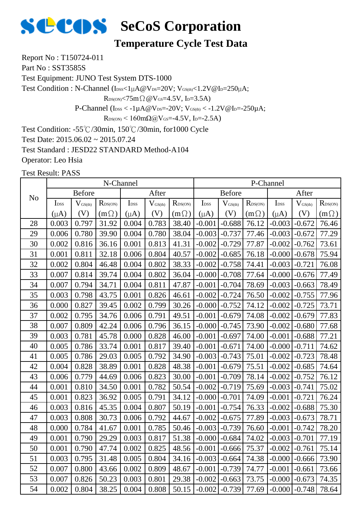

#### **Temperature Cycle Test Data**

Report No : T150724-011

Part No: SST3585S

Test Equipment: JUNO Test System DTS-1000

Test Condition : N-Channel ( $I_{\text{DSS}}<1\mu A@V_{\text{DS}}=20V$ ;  $V_{\text{GS(th}}<1.2V@I_{\text{D}}=250\mu A$ ;

 $R_{DS(ON)}$ <75m $\Omega$  @V $_{GS}$ =4.5V, I<sub>D</sub>=3.5A)

P-Channel ( $I_{\text{DSS}} < -1 \mu A @V_{\text{DS}} = -20 V$ ;  $V_{\text{GS(th}} < -1.2 V @I_{\text{D}} = -250 \mu A$ ;

 $R_{DS(ON)}$  < 160mΩ@V<sub>GS</sub>=-4.5V, I<sub>D</sub>=-2.5A)

Test Condition: -55℃/30min, 150℃/30min, for1000 Cycle

Test Date: 2015.06.02 ~ 2015.07.24

Test Standard : JESD22 STANDARD Method-A104

Operator: Leo Hsia

|                |                           |                     | N-Channel        |                             |                     |                     |                  |                              |                  | P-Channel         |                              |                  |
|----------------|---------------------------|---------------------|------------------|-----------------------------|---------------------|---------------------|------------------|------------------------------|------------------|-------------------|------------------------------|------------------|
| N <sub>o</sub> |                           | <b>Before</b>       |                  |                             | After               |                     |                  | <b>Before</b>                |                  |                   | After                        |                  |
|                | $\mathbf{I}_{\text{DSS}}$ | $V_{\text{GS(th)}}$ | $R_{\rm DS(ON)}$ | $\mathbf{I}_{\mathrm{DSS}}$ | $V_{\text{GS(th)}}$ | $R_{\text{DS(ON)}}$ | I <sub>DSS</sub> | $\mathbf{V}_{\text{GS(th)}}$ | $R_{\rm DS(ON)}$ | I <sub>DSS</sub>  | $\mathbf{V}_{\text{GS(th)}}$ | $R_{\rm DS(ON)}$ |
|                | $(\mu A)$                 | (V)                 | $(m\Omega)$      | $(\mu A)$                   | (V)                 | $(m\Omega)$         | $(\mu A)$        | (V)                          | $(m \Omega)$     | $(\mu A)$         | (V)                          | $(m\Omega)$      |
| 28             | 0.003                     | 0.797               | 31.92            | 0.004                       | 0.783               | 38.40               | $-0.001$         | $-0.688$                     | 76.12            | $-0.003$          | $-0.672$                     | 76.46            |
| 29             | 0.006                     | 0.780               | 39.90            | 0.004                       | 0.780               | 38.04               | $-0.003$         | $-0.737$                     | 77.46            | $-0.003$          | $-0.672$                     | 77.29            |
| 30             | 0.002                     | 0.816               | 36.16            | 0.001                       | 0.813               | 41.31               | $-0.002$         | $-0.729$                     | 77.87            | $-0.002$          | $-0.762$                     | 73.61            |
| 31             | 0.001                     | 0.811               | 32.18            | 0.006                       | 0.804               | 40.57               | $-0.002$         | $-0.685$                     | 76.18            | $-0.000$          | $-0.678$                     | 75.94            |
| 32             | 0.002                     | 0.804               | 46.48            | 0.004                       | 0.802               | 38.33               | $-0.002$         | $-0.758$                     | 74.41            | $-0.003$          | $-0.721$                     | 76.08            |
| 33             | 0.007                     | 0.814               | 39.74            | 0.004                       | 0.802               | 36.04               | $-0.000$         | $-0.708$                     | 77.64            | $-0.000$          | $-0.676$                     | 77.49            |
| 34             | 0.007                     | 0.794               | 34.71            | 0.004                       | 0.811               | 47.87               | $-0.001$         | $-0.704$                     | 78.69            | $-0.003$          | $-0.663$                     | 78.49            |
| 35             | 0.003                     | 0.798               | 43.75            | 0.001                       | 0.826               | 46.61               | $-0.002$         | $-0.724$                     | 76.50            | $-0.002$          | $-0.755$                     | 77.96            |
| 36             | 0.000                     | 0.827               | 39.45            | 0.002                       | 0.799               | 30.26               | $-0.000$         | $-0.752$                     | 74.12            | $-0.002$          | $-0.725$                     | 73.71            |
| 37             | 0.002                     | 0.795               | 34.76            | 0.006                       | 0.791               | 49.51               | $-0.001$         | $-0.679$                     | 74.08            | $-0.002$          | $-0.679$                     | 77.83            |
| 38             | 0.007                     | 0.809               | 42.24            | 0.006                       | 0.796               | 36.15               | $-0.000$         | $-0.745$                     | 73.90            | $-0.002$          | $-0.680$                     | 77.68            |
| 39             | 0.003                     | 0.781               | 45.78            | 0.000                       | 0.828               | 46.00               | $-0.001$         | $-0.697$                     | 74.00            | $-0.001$          | $-0.688$                     | 77.21            |
| 40             | 0.005                     | 0.786               | 33.74            | 0.001                       | 0.817               | 39.40               | $-0.001$         | $-0.671$                     | 74.00            | $-0.000$          | $-0.711$                     | 74.62            |
| 41             | 0.005                     | 0.786               | 29.03            | 0.005                       | 0.792               | 34.90               | $-0.003$         | $-0.743$                     | 75.01            | $-0.002$          | $-0.723$                     | 78.48            |
| 42             | 0.004                     | 0.828               | 38.89            | 0.001                       | 0.828               | 48.38               | $-0.001$         | $-0.679$                     | 75.51            | $-0.002$          | $-0.685$                     | 74.64            |
| 43             | 0.006                     | 0.779               | 44.69            | 0.006                       | 0.823               | 30.00               | $-0.001$         | $-0.709$                     | 78.14            | $-0.002$          | $-0.752$                     | 76.12            |
| 44             | 0.001                     | 0.810               | 34.50            | 0.001                       | 0.782               | 50.54               | $-0.002$         | $-0.719$                     | 75.69            | $-0.003$          | $-0.741$                     | 75.02            |
| 45             | 0.001                     | 0.823               | 36.92            | 0.005                       | 0.791               | 34.12               | $-0.000$         | $-0.701$                     | 74.09            | $-0.001$          | $-0.721$                     | 76.24            |
| 46             | 0.003                     | 0.816               | 45.35            | 0.004                       | 0.807               | 50.19               | $-0.001$         | $-0.754$                     | 76.33            | $-0.002$          | $-0.688$                     | 75.30            |
| 47             | 0.003                     | 0.808               | 30.73            | 0.006                       | 0.792               | 44.67               | $-0.002$         | $-0.675$                     | 77.89            | $-0.003$          | $-0.673$                     | 78.71            |
| 48             | 0.000                     | 0.784               | 41.67            | 0.001                       | 0.785               | 50.46               | $-0.003$         | $-0.739$                     | 76.60            | $-0.001$          | $-0.742$                     | 78.20            |
| 49             | 0.001                     | 0.790               | 29.29            | 0.003                       | 0.817               | 51.38               | $-0.000$         | $-0.684$                     | 74.02            | $-0.003$          | $-0.701$                     | 77.19            |
| 50             | 0.001                     | 0.790               | 47.74            | 0.002                       | 0.825               | 48.56               | $-0.001$         | $-0.666$                     | 75.37            | $-0.002$          | $-0.761$                     | 75.14            |
| 51             | 0.003                     | 0.795               | 31.48            | 0.005                       | 0.804               | 34.16               | $-0.003$         | $-0.664$                     | 74.38            | $-0.000$          | $-0.666$                     | 73.90            |
| 52             | 0.007                     | 0.800               | 43.66            | 0.002                       | 0.809               | 48.67               | $-0.001$         | $-0.739$                     | 74.77            | $-0.001$          | $-0.661$                     | 73.66            |
| 53             | 0.007                     | 0.826               | 50.23            | 0.003                       | 0.801               | 29.38               | $-0.002$         | $-0.663$                     | 73.75            | $-0.000$          | $-0.673$                     | 74.35            |
| 54             | 0.002                     | 0.804               | 38.25            | 0.004                       | 0.808               | 50.15               | $-0.002$         | $-0.739$                     | 77.69            | $-0.000$ $-0.748$ |                              | 78.64            |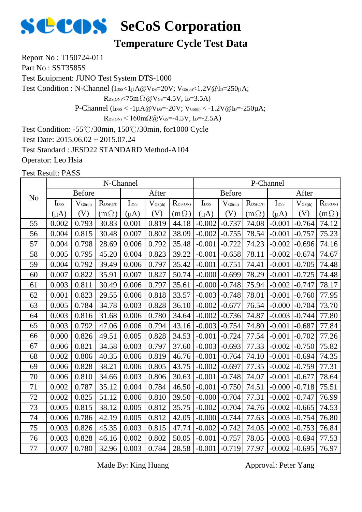

#### **Temperature Cycle Test Data**

Report No : T150724-011

Part No: SST3585S

Test Equipment: JUNO Test System DTS-1000

Test Condition : N-Channel (IDSS<1µA@VDS=20V; VGS(th)<1.2V@ID=250µA;

 $R_{DS(ON)}$ <75m $\Omega$  @V $_{GS}$ =4.5V, I<sub>D</sub>=3.5A)

P-Channel ( $I_{\text{DSS}} < -1 \mu A @V_{\text{DS}} = -20 V$ ;  $V_{\text{GS(th}} < -1.2 V @I_{\text{D}} = -250 \mu A$ ;

 $R_{DS(ON)}$  < 160m $\Omega$ @V<sub>GS</sub>=-4.5V, I<sub>D</sub>=-2.5A)

Test Condition: -55℃/30min, 150℃/30min, for1000 Cycle

Test Date: 2015.06.02 ~ 2015.07.24

Test Standard : JESD22 STANDARD Method-A104

Operator: Leo Hsia

Test Result: PASS

|                |                  |                     | N-Channel    |                  |              |                  |                  |                     |                  | P-Channel        |                     |                  |
|----------------|------------------|---------------------|--------------|------------------|--------------|------------------|------------------|---------------------|------------------|------------------|---------------------|------------------|
| N <sub>o</sub> |                  | <b>Before</b>       |              |                  | After        |                  |                  | <b>Before</b>       |                  |                  | After               |                  |
|                | I <sub>DSS</sub> | $V_{\text{GS(th)}}$ | $R_{DS(ON)}$ | I <sub>DSS</sub> | $V_{GS(th)}$ | $R_{\rm DS(ON)}$ | I <sub>DSS</sub> | $V_{\text{GS(th)}}$ | $R_{\rm DS(ON)}$ | I <sub>DSS</sub> | $V_{\text{GS(th)}}$ | $R_{\rm DS(ON)}$ |
|                | $(\mu A)$        | (V)                 | $(m\Omega)$  | $(\mu A)$        | (V)          | $(m\Omega)$      | $(\mu A)$        | (V)                 | $(m\Omega)$      | $(\mu A)$        | (V)                 | $(m\Omega)$      |
| 55             | 0.002            | 0.793               | 30.83        | 0.001            | 0.819        | 44.18            | $-0.002$         | $-0.737$            | 74.08            | $-0.001$         | $-0.764$            | 74.12            |
| 56             | 0.004            | 0.815               | 30.48        | 0.007            | 0.802        | 38.09            | $-0.002$         | $-0.755$            | 78.54            | $-0.001$         | $-0.757$            | 75.23            |
| 57             | 0.004            | 0.798               | 28.69        | 0.006            | 0.792        | 35.48            | $-0.001$         | $-0.722$            | 74.23            | $-0.002$         | $-0.696$            | 74.16            |
| 58             | 0.005            | 0.795               | 45.20        | 0.004            | 0.823        | 39.22            | $-0.001$         | $-0.658$            | 78.11            | $-0.002$         | $-0.674$            | 74.67            |
| 59             | 0.004            | 0.792               | 39.49        | 0.006            | 0.797        | 35.42            | $-0.001$         | $-0.751$            | 74.41            | $-0.001$         | $-0.705$            | 74.48            |
| 60             | 0.007            | 0.822               | 35.91        | 0.007            | 0.827        | 50.74            | $-0.000$         | $-0.699$            | 78.29            | $-0.001$         | $-0.725$            | 74.48            |
| 61             | 0.003            | 0.811               | 30.49        | 0.006            | 0.797        | 35.61            | $-0.000$         | $-0.748$            | 75.94            | $-0.002$         | $-0.747$            | 78.17            |
| 62             | 0.001            | 0.823               | 29.55        | 0.006            | 0.818        | 33.57            | $-0.003$         | $-0.748$            | 78.01            | $-0.001$         | $-0.760$            | 77.95            |
| 63             | 0.005            | 0.784               | 34.78        | 0.003            | 0.828        | 36.10            | $-0.002$         | $-0.677$            | 76.54            | $-0.000$         | $-0.704$            | 73.70            |
| 64             | 0.003            | 0.816               | 31.68        | 0.006            | 0.780        | 34.64            | $-0.002$         | $-0.736$            | 74.87            | $-0.003$         | $-0.744$            | 77.80            |
| 65             | 0.003            | 0.792               | 47.06        | 0.006            | 0.794        | 43.16            | $-0.003$         | $-0.754$            | 74.80            | $-0.001$         | $-0.687$            | 77.84            |
| 66             | 0.000            | 0.826               | 49.51        | 0.005            | 0.828        | 34.53            | $-0.001$         | $-0.724$            | 77.54            | $-0.001$         | $-0.702$            | 77.26            |
| 67             | 0.006            | 0.821               | 34.58        | 0.003            | 0.797        | 37.60            | $-0.003$         | $-0.693$            | 77.33            | $-0.002$         | $-0.750$            | 75.82            |
| 68             | 0.002            | 0.806               | 40.35        | 0.006            | 0.819        | 46.76            | $-0.001$         | $-0.764$            | 74.10            | $-0.001$         | $-0.694$            | 74.35            |
| 69             | 0.006            | 0.828               | 38.21        | 0.006            | 0.805        | 43.75            | $-0.002$         | $-0.697$            | 77.35            | $-0.002$         | $-0.759$            | 77.31            |
| 70             | 0.006            | 0.810               | 34.66        | 0.003            | 0.806        | 30.63            | $-0.001$         | $-0.748$            | 74.07            | $-0.001$         | $-0.677$            | 78.64            |
| 71             | 0.002            | 0.787               | 35.12        | 0.004            | 0.784        | 46.50            | $-0.001$         | $-0.750$            | 74.51            | $-0.000$         | $-0.718$            | 75.51            |
| 72             | 0.002            | 0.825               | 51.12        | 0.006            | 0.810        | 39.50            | $-0.000$         | $-0.704$            | 77.31            | $-0.002$         | $-0.747$            | 76.99            |
| 73             | 0.005            | 0.815               | 38.12        | 0.005            | 0.812        | 35.75            | $-0.002$         | $-0.704$            | 74.76            | $-0.002$         | $-0.665$            | 74.53            |
| 74             | 0.006            | 0.786               | 42.19        | 0.005            | 0.812        | 42.05            | $-0.000$         | $-0.744$            | 77.63            | $-0.003$         | $-0.754$            | 76.80            |
| 75             | 0.003            | 0.826               | 45.35        | 0.003            | 0.815        | 47.74            | $-0.002$         | $-0.742$            | 74.05            | $-0.002$         | $-0.753$            | 76.84            |
| 76             | 0.003            | 0.828               | 46.16        | 0.002            | 0.802        | 50.05            | $-0.001$         | $-0.757$            | 78.05            | $-0.003$         | $-0.694$            | 77.53            |
| 77             | 0.007            | 0.780               | 32.96        | 0.003            | 0.784        | 28.58            | $-0.001$         | $-0.719$            | 77.97            | $-0.002$         | $-0.695$            | 76.97            |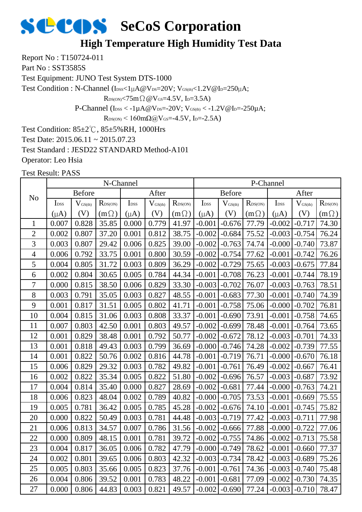## **High Temperature High Humidity Test Data**

Report No : T150724-011

Part No: SST3585S

Test Equipment: JUNO Test System DTS-1000

Test Condition : N-Channel (IDSS<1µA@VDS=20V; VGS(th)<1.2V@ID=250µA;

 $R_{DS(ON)}$ <75m $\Omega$  @V $_{GS}$ =4.5V, I<sub>D</sub>=3.5A)

P-Channel ( $I_{\text{DSS}} < -1 \mu A @V_{\text{DS}} = -20 V$ ;  $V_{\text{GS(th}} < -1.2 V @I_{\text{D}} = -250 \mu A$ ;

 $R_{DS(ON)}$  < 160mΩ@V<sub>GS</sub>=-4.5V, I<sub>D</sub>=-2.5A)

Test Condition: 85±2℃, 85±5%RH, 1000Hrs

Test Date: 2015.06.11 ~ 2015.07.23

Test Standard : JESD22 STANDARD Method-A101

Operator: Leo Hsia

|                |                  |                     | N-Channel    |                  |                     |                     |                  |               |                  | P-Channel        |                     |                            |
|----------------|------------------|---------------------|--------------|------------------|---------------------|---------------------|------------------|---------------|------------------|------------------|---------------------|----------------------------|
| N <sub>o</sub> |                  | <b>Before</b>       |              |                  | After               |                     |                  | <b>Before</b> |                  |                  | After               |                            |
|                | I <sub>DSS</sub> | $V_{\text{GS(th)}}$ | $R_{DS(ON)}$ | I <sub>DSS</sub> | $V_{\text{GS(th)}}$ | $R_{\text{DS(ON)}}$ | I <sub>DSS</sub> | $V_{GS(th)}$  | $R_{\rm DS(ON)}$ | I <sub>DSS</sub> | $V_{\text{GS(th)}}$ | $R_{\text{DS}(\text{ON})}$ |
|                | $(\mu A)$        | (V)                 | $(m\Omega)$  | $(\mu A)$        | (V)                 | $(m\Omega)$         | $(\mu A)$        | (V)           | $(m\Omega)$      | $(\mu A)$        | (V)                 | $(m\Omega)$                |
| $\mathbf{1}$   | 0.007            | 0.828               | 35.85        | 0.000            | 0.779               | 41.97               | $-0.001$         | $-0.676$      | 77.79            | $-0.002$         | $-0.717$            | 74.30                      |
| $\overline{2}$ | 0.002            | 0.807               | 37.20        | 0.001            | 0.812               | 38.75               | $-0.002$         | $-0.684$      | 75.52            | $-0.003$         | $-0.754$            | 76.24                      |
| 3              | 0.003            | 0.807               | 29.42        | 0.006            | 0.825               | 39.00               | $-0.002$         | $-0.763$      | 74.74            | $-0.000$         | $-0.740$            | 73.87                      |
| $\overline{4}$ | 0.006            | 0.792               | 33.75        | 0.001            | 0.800               | 30.59               | $-0.002$         | $-0.754$      | 77.62            | $-0.001$         | $-0.742$            | 76.26                      |
| 5              | 0.004            | 0.805               | 31.72        | 0.003            | 0.809               | 36.29               | $-0.002$         | $-0.729$      | 75.65            | $-0.003$         | $-0.675$            | 77.84                      |
| 6              | 0.002            | 0.804               | 30.65        | 0.005            | 0.784               | 44.34               | $-0.001$         | $-0.708$      | 76.23            | $-0.001$         | $-0.744$            | 78.19                      |
| $\overline{7}$ | 0.000            | 0.815               | 38.50        | 0.006            | 0.829               | 33.30               | $-0.003$         | $-0.702$      | 76.07            | $-0.003$         | $-0.763$            | 78.51                      |
| 8              | 0.003            | 0.791               | 35.05        | 0.003            | 0.827               | 48.55               | $-0.001$         | $-0.683$      | 77.30            | $-0.001$         | $-0.740$            | 74.39                      |
| 9              | 0.001            | 0.817               | 31.51        | 0.005            | 0.802               | 41.71               | $-0.001$         | $-0.758$      | 75.06            | $-0.000$         | $-0.702$            | 76.81                      |
| 10             | 0.004            | 0.815               | 31.06        | 0.003            | 0.808               | 33.37               | $-0.001$         | $-0.690$      | 73.91            | $-0.001$         | $-0.758$            | 74.65                      |
| 11             | 0.007            | 0.803               | 42.50        | 0.001            | 0.803               | 49.57               | $-0.002$         | $-0.699$      | 78.48            | $-0.001$         | $-0.764$            | 73.65                      |
| 12             | 0.001            | 0.829               | 38.48        | 0.001            | 0.792               | 50.77               | $-0.002$         | $-0.672$      | 78.12            | $-0.003$         | $-0.701$            | 74.33                      |
| 13             | 0.001            | 0.818               | 49.43        | 0.003            | 0.799               | 36.69               | $-0.000$         | $-0.746$      | 74.28            | $-0.002$         | $-0.739$            | 77.55                      |
| 14             | 0.001            | 0.822               | 50.76        | 0.002            | 0.816               | 44.78               | $-0.001$         | $-0.719$      | 76.71            | $-0.000$         | $-0.670$            | 76.18                      |
| 15             | 0.006            | 0.829               | 29.32        | 0.003            | 0.782               | 49.82               | $-0.001$         | $-0.761$      | 76.49            | $-0.002$         | $-0.667$            | 76.41                      |
| 16             | 0.002            | 0.822               | 35.34        | 0.005            | 0.822               | 51.80               | $-0.002$         | $-0.696$      | 76.57            | $-0.003$         | $-0.687$            | 73.92                      |
| 17             | 0.004            | 0.814               | 35.40        | 0.000            | 0.827               | 28.69               | $-0.002$         | $-0.681$      | 77.44            | $-0.000$         | $-0.763$            | 74.21                      |
| 18             | 0.006            | 0.823               | 48.04        | 0.002            | 0.789               | 40.82               | $-0.000$         | $-0.705$      | 73.53            | $-0.001$         | $-0.669$            | 75.55                      |
| 19             | 0.005            | 0.781               | 36.42        | 0.005            | 0.785               | 45.28               | $-0.002$         | $-0.676$      | 74.10            | $-0.001$         | $-0.745$            | 75.82                      |
| 20             | 0.000            | 0.822               | 50.49        | 0.003            | 0.781               | 44.48               | $-0.003$         | $-0.719$      | 77.42            | $-0.003$         | $-0.711$            | 77.98                      |
| 21             | 0.006            | 0.813               | 34.57        | 0.007            | 0.786               | 31.56               | $-0.002$         | $-0.666$      | 77.88            | $-0.000$         | $-0.722$            | 77.06                      |
| 22             | 0.000            | 0.809               | 48.15        | 0.001            | 0.781               | 39.72               | $-0.002$         | $-0.755$      | 74.86            | $-0.002$         | $-0.713$            | 75.58                      |
| 23             | 0.004            | 0.817               | 36.05        | 0.006            | 0.782               | 47.79               | $-0.000$         | $-0.749$      | 78.62            | $-0.001$         | $-0.660$            | 77.37                      |
| 24             | 0.002            | 0.801               | 39.65        | 0.006            | 0.803               | 42.32               | $-0.003$         | $-0.734$      | 78.42            | $-0.003$         | $-0.689$            | 75.26                      |
| 25             | 0.005            | 0.803               | 35.66        | 0.005            | 0.823               | 37.76               | $-0.001$         | $-0.761$      | 74.36            | $-0.003$         | $-0.740$            | 75.48                      |
| 26             | 0.004            | 0.806               | 39.52        | 0.001            | 0.783               | 48.22               | $-0.001$         | $-0.681$      | 77.09            | $-0.002$         | $-0.730$            | 74.35                      |
| 27             | 0.000            | 0.806               | 44.83        | 0.003            | 0.821               | 49.57               | $-0.002$         | $-0.690$      | 77.24            | $-0.003$         | $-0.710$            | 78.47                      |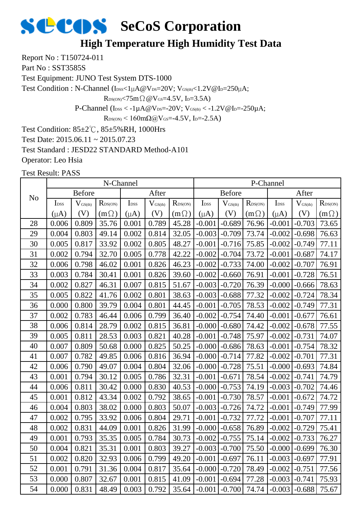## **High Temperature High Humidity Test Data**

Report No : T150724-011

Part No: SST3585S

Test Equipment: JUNO Test System DTS-1000

Test Condition : N-Channel (IDSS<1µA@VDS=20V; VGS(th)<1.2V@ID=250µA;

 $R_{DS(ON)}$ <75m $\Omega$  @V $_{GS}$ =4.5V, I<sub>D</sub>=3.5A)

P-Channel ( $I_{\text{DSS}} < -1 \mu A @V_{\text{DS}} = -20 V$ ;  $V_{\text{GS(th}} < -1.2 V @I_{\text{D}} = -250 \mu A$ ;

 $R_{DS(ON)}$  < 160mΩ@V<sub>GS</sub>=-4.5V, I<sub>D</sub>=-2.5A)

Test Condition: 85±2℃, 85±5%RH, 1000Hrs

Test Date: 2015.06.11 ~ 2015.07.23

Test Standard : JESD22 STANDARD Method-A101

Operator: Leo Hsia

|                |                  |                     | N-Channel        |                             |                              |              |                  |               |                  | P-Channel         |                     |                            |
|----------------|------------------|---------------------|------------------|-----------------------------|------------------------------|--------------|------------------|---------------|------------------|-------------------|---------------------|----------------------------|
| N <sub>o</sub> |                  | <b>Before</b>       |                  |                             | After                        |              |                  | <b>Before</b> |                  |                   | After               |                            |
|                | I <sub>DSS</sub> | $V_{\text{GS(th)}}$ | $R_{\rm DS(ON)}$ | $\mathbf{I}_{\mathrm{DSS}}$ | $\mathbf{V}_{\text{GS(th)}}$ | $R_{DS(ON)}$ | I <sub>DSS</sub> | $V_{GS(th)}$  | $R_{\rm DS(ON)}$ | I <sub>DSS</sub>  | $V_{\text{GS(th)}}$ | $R_{\text{DS}(\text{ON})}$ |
|                | $(\mu A)$        | (V)                 | $(m\Omega)$      | $(\mu A)$                   | (V)                          | $(m \Omega)$ | $(\mu A)$        | (V)           | $(m\Omega)$      | $(\mu A)$         | (V)                 | $(m\Omega)$                |
| 28             | 0.006            | 0.809               | 35.76            | 0.001                       | 0.789                        | 45.28        | $-0.001$         | $-0.689$      | 76.96            | $-0.001$          | $-0.703$            | 73.65                      |
| 29             | 0.004            | 0.803               | 49.14            | 0.002                       | 0.814                        | 32.05        | $-0.003$         | $-0.709$      | 73.74            | $-0.002$          | $-0.698$            | 76.63                      |
| 30             | 0.005            | 0.817               | 33.92            | 0.002                       | 0.805                        | 48.27        | $-0.001$         | $-0.716$      | 75.85            | $-0.002$          | $-0.749$            | 77.11                      |
| 31             | 0.002            | 0.794               | 32.70            | 0.005                       | 0.778                        | 42.22        | $-0.002$         | $-0.704$      | 73.72            | $-0.001$          | $-0.687$            | 74.17                      |
| 32             | 0.006            | 0.798               | 46.02            | 0.001                       | 0.826                        | 46.23        | $-0.002$         | $-0.733$      | 74.00            | $-0.002$          | $-0.707$            | 76.91                      |
| 33             | 0.003            | 0.784               | 30.41            | 0.001                       | 0.826                        | 39.60        | $-0.002$         | $-0.660$      | 76.91            | $-0.001$          | $-0.728$            | 76.51                      |
| 34             | 0.002            | 0.827               | 46.31            | 0.007                       | 0.815                        | 51.67        | $-0.003$         | $-0.720$      | 76.39            | $-0.000$          | $-0.666$            | 78.63                      |
| 35             | 0.005            | 0.822               | 41.76            | 0.002                       | 0.801                        | 38.63        | $-0.003$         | $-0.688$      | 77.32            | $-0.002$          | $-0.724$            | 78.34                      |
| 36             | 0.000            | 0.800               | 39.79            | 0.004                       | 0.801                        | 44.45        | $-0.001$         | $-0.705$      | 78.53            | $-0.002$          | $-0.749$            | 77.31                      |
| 37             | 0.002            | 0.783               | 46.44            | 0.006                       | 0.799                        | 36.40        | $-0.002$         | $-0.754$      | 74.40            | $-0.001$          | $-0.677$            | 76.61                      |
| 38             | 0.006            | 0.814               | 28.79            | 0.002                       | 0.815                        | 36.81        | $-0.000$         | $-0.680$      | 74.42            | $-0.002$          | $-0.678$            | 77.55                      |
| 39             | 0.005            | 0.811               | 28.53            | 0.003                       | 0.821                        | 40.28        | $-0.001$         | $-0.748$      | 75.97            | $-0.002$          | $-0.731$            | 74.07                      |
| 40             | 0.007            | 0.809               | 50.68            | 0.000                       | 0.825                        | 50.25        | $-0.000$         | $-0.686$      | 78.63            | $-0.001$          | $-0.754$            | 78.32                      |
| 41             | 0.007            | 0.782               | 49.85            | 0.006                       | 0.816                        | 36.94        | $-0.000$         | $-0.714$      | 77.82            | $-0.002$          | $-0.701$            | 77.31                      |
| 42             | 0.006            | 0.790               | 49.07            | 0.004                       | 0.804                        | 32.06        | $-0.000$         | $-0.728$      | 75.51            | $-0.000$          | $-0.693$            | 74.84                      |
| 43             | 0.001            | 0.794               | 30.12            | 0.005                       | 0.786                        | 32.31        | $-0.001$         | $-0.671$      | 78.54            | $-0.002$          | $-0.741$            | 74.79                      |
| 44             | 0.006            | 0.811               | 30.42            | 0.000                       | 0.830                        | 40.53        | $-0.000$         | $-0.753$      | 74.19            | $-0.003$          | $-0.702$            | 74.46                      |
| 45             | 0.001            | 0.812               | 43.34            | 0.002                       | 0.792                        | 38.65        | $-0.001$         | $-0.730$      | 78.57            | $-0.001$          | $-0.672$            | 74.72                      |
| 46             | 0.004            | 0.803               | 38.02            | 0.000                       | 0.803                        | 50.07        | $-0.003$         | $-0.726$      | 74.72            | $-0.001$          | $-0.749$            | 77.99                      |
| 47             | 0.002            | 0.795               | 33.92            | 0.006                       | 0.804                        | 29.71        | $-0.001$         | $-0.732$      | 77.72            | $-0.001$          | $-0.707$            | 77.11                      |
| 48             | 0.002            | 0.831               | 44.09            | 0.001                       | 0.826                        | 31.99        | $-0.000$         | $-0.658$      | 76.89            | $-0.002$          | $-0.729$            | 75.41                      |
| 49             | 0.001            | 0.793               | 35.35            | 0.005                       | 0.784                        | 30.73        | $-0.002$         | $-0.755$      | 75.14            | $-0.002$          | $-0.733$            | 76.27                      |
| 50             | 0.004            | 0.821               | 35.31            | 0.001                       | 0.803                        | 39.27        | $-0.003$         | $-0.700$      | 75.50            | $-0.000$          | $-0.699$            | 76.30                      |
| 51             | 0.002            | 0.820               | 32.93            | 0.006                       | 0.799                        | 49.20        | $-0.001$         | $-0.697$      | 76.11            | $-0.003$          | $-0.697$            | 77.91                      |
| 52             | 0.001            | 0.791               | 31.36            | 0.004                       | 0.817                        | 35.64        | $-0.000$         | $-0.720$      | 78.49            | $-0.002$          | $-0.751$            | 77.56                      |
| 53             | 0.000            | 0.807               | 32.67            | 0.001                       | 0.815                        | 41.09        | $-0.001$         | $-0.694$      | 77.28            | $-0.003$          | $-0.741$            | 75.93                      |
| 54             | 0.000            | 0.831               | 48.49            | 0.003                       | 0.792                        | 35.64        | $-0.001$         | $-0.700$      | 74.74            | $-0.003$ $-0.688$ |                     | 75.67                      |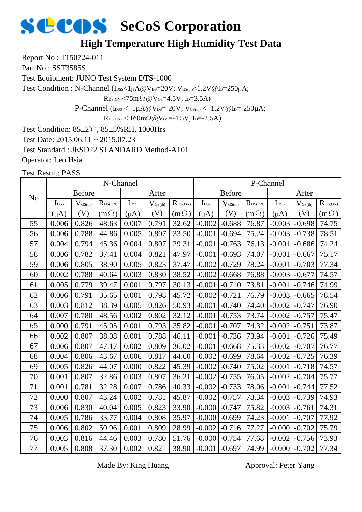#### **High Temperature High Humidity Test Data**

Report No : T150724-011

Part No: SST3585S

Test Equipment: JUNO Test System DTS-1000

Test Condition : N-Channel (IDSS<1µA@VDS=20V; VGS(th)<1.2V@ID=250µA;

 $R_{DS(ON)} < 75m\Omega$  @  $V_{GS} = 4.5V$ , I<sub>D</sub>=3.5A)

P-Channel ( $I_{\text{DSS}} < -1 \mu A @V_{\text{DS}} = -20 V$ ;  $V_{\text{GS(th}} < -1.2 V @I_{\text{D}} = -250 \mu A$ ;

 $R_{DS(ON)}$  < 160m $\Omega$ @V<sub>GS</sub>=-4.5V, I<sub>D</sub>=-2.5A)

Test Condition: 85±2℃, 85±5%RH, 1000Hrs

Test Date: 2015.06.11 ~ 2015.07.23

Test Standard : JESD22 STANDARD Method-A101

Operator: Leo Hsia

Test Result: PASS

|                |                  |                     | N-Channel           |                  |                     |              |                  |                     |                  | P-Channel        |                     |                  |
|----------------|------------------|---------------------|---------------------|------------------|---------------------|--------------|------------------|---------------------|------------------|------------------|---------------------|------------------|
| N <sub>o</sub> |                  | <b>Before</b>       |                     |                  | After               |              |                  | <b>Before</b>       |                  |                  | After               |                  |
|                | I <sub>DSS</sub> | $V_{\text{GS(th)}}$ | $R_{\text{DS(ON)}}$ | I <sub>DSS</sub> | $V_{\text{GS(th)}}$ | $R_{DS(ON)}$ | I <sub>DSS</sub> | $V_{\text{GS(th)}}$ | $R_{\rm DS(ON)}$ | I <sub>DSS</sub> | $V_{\text{GS(th)}}$ | $R_{\rm DS(ON)}$ |
|                | $(\mu A)$        | (V)                 | $(m\Omega)$         | $(\mu A)$        | (V)                 | $(m\Omega)$  | $(\mu A)$        | (V)                 | $(m\Omega)$      | $(\mu A)$        | (V)                 | $(m\Omega)$      |
| 55             | 0.006            | 0.826               | 48.63               | 0.007            | 0.791               | 32.62        | $-0.002$         | $-0.688$            | 76.87            | $-0.003$         | $-0.698$            | 74.75            |
| 56             | 0.006            | 0.788               | 44.86               | 0.005            | 0.807               | 33.50        | $-0.001$         | $-0.694$            | 75.24            | $-0.003$         | $-0.738$            | 78.51            |
| 57             | 0.004            | 0.794               | 45.36               | 0.004            | 0.807               | 29.31        | $-0.001$         | $-0.763$            | 76.13            | $-0.001$         | $-0.686$            | 74.24            |
| 58             | 0.006            | 0.782               | 37.41               | 0.004            | 0.821               | 47.97        | $-0.001$         | $-0.693$            | 74.07            | $-0.001$         | $-0.667$            | 75.17            |
| 59             | 0.006            | 0.805               | 38.90               | 0.005            | 0.823               | 37.47        | $-0.002$         | $-0.729$            | 78.24            | $-0.001$         | $-0.703$            | 77.34            |
| 60             | 0.002            | 0.788               | 40.64               | 0.003            | 0.830               | 38.52        | $-0.002$         | $-0.668$            | 76.88            | $-0.003$         | $-0.677$            | 74.57            |
| 61             | 0.005            | 0.779               | 39.47               | 0.001            | 0.797               | 30.13        | $-0.001$         | $-0.710$            | 73.81            | $-0.001$         | $-0.746$            | 74.99            |
| 62             | 0.006            | 0.791               | 35.65               | 0.001            | 0.798               | 45.72        | $-0.002$         | $-0.721$            | 76.79            | $-0.003$         | $-0.665$            | 78.54            |
| 63             | 0.003            | 0.812               | 38.39               | 0.005            | 0.826               | 50.93        | $-0.001$         | $-0.740$            | 74.40            | $-0.002$         | $-0.747$            | 76.90            |
| 64             | 0.007            | 0.780               | 48.56               | 0.002            | 0.802               | 32.12        | $-0.001$         | $-0.753$            | 73.74            | $-0.002$         | $-0.757$            | 75.47            |
| 65             | 0.000            | 0.791               | 45.05               | 0.001            | 0.793               | 35.82        | $-0.001$         | $-0.707$            | 74.32            | $-0.002$         | $-0.751$            | 73.87            |
| 66             | 0.002            | 0.807               | 38.08               | 0.001            | 0.788               | 46.11        | $-0.001$         | $-0.736$            | 73.94            | $-0.001$         | $-0.726$            | 75.49            |
| 67             | 0.006            | 0.807               | 47.17               | 0.002            | 0.809               | 36.02        | $-0.001$         | $-0.668$            | 75.33            | $-0.002$         | $-0.707$            | 76.77            |
| 68             | 0.004            | 0.806               | 43.67               | 0.006            | 0.817               | 44.60        | $-0.002$         | $-0.699$            | 78.64            | $-0.002$         | $-0.725$            | 76.39            |
| 69             | 0.005            | 0.826               | 44.07               | 0.000            | 0.822               | 45.39        | $-0.002$         | $-0.740$            | 75.02            | $-0.001$         | $-0.718$            | 74.57            |
| 70             | 0.001            | 0.807               | 32.86               | 0.003            | 0.807               | 36.21        | $-0.002$         | $-0.755$            | 76.05            | $-0.002$         | $-0.704$            | 75.77            |
| 71             | 0.001            | 0.781               | 32.28               | 0.007            | 0.786               | 40.33        | $-0.002$         | $-0.733$            | 78.06            | $-0.001$         | $-0.744$            | 77.52            |
| 72             | 0.000            | 0.807               | 43.24               | 0.002            | 0.781               | 45.87        | $-0.002$         | $-0.757$            | 78.34            | $-0.003$         | $-0.739$            | 74.93            |
| 73             | 0.006            | 0.830               | 40.04               | 0.005            | 0.823               | 33.90        | $-0.000$         | $-0.747$            | 75.82            | $-0.003$         | $-0.761$            | 74.31            |
| 74             | 0.005            | 0.786               | 33.77               | 0.004            | 0.808               | 35.97        | $-0.000$         | $-0.699$            | 74.23            | $-0.001$         | $-0.707$            | 77.92            |
| 75             | 0.006            | 0.802               | 50.96               | 0.001            | 0.809               | 28.99        | $-0.002$         | $-0.716$            | 77.27            | $-0.000$         | $-0.702$            | 75.79            |
| 76             | 0.003            | 0.816               | 44.46               | 0.003            | 0.780               | 51.76        | $-0.000$         | $-0.754$            | 77.68            | $-0.002$         | $-0.756$            | 73.93            |
| 77             | 0.005            | 0.808               | 37.30               | 0.002            | 0.821               | 38.90        | $-0.001$         | $-0.697$            | 74.99            | $-0.000$         | $-0.702$            | 77.34            |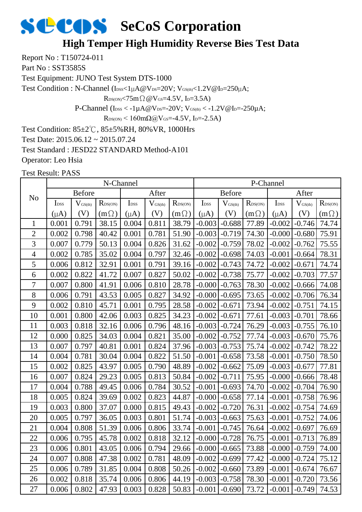### **High Temper High Humidity Reverse Bies Test Data**

Report No : T150724-011

Part No: SST3585S

Test Equipment: JUNO Test System DTS-1000

Test Condition : N-Channel (IDSS<1µA@VDS=20V; VGS(th)<1.2V@ID=250µA;

 $R_{DS(ON)}$ <75m $\Omega$  @V $_{GS}$ =4.5V, I<sub>D</sub>=3.5A)

P-Channel ( $I_{\text{DSS}} < -1 \mu A @V_{\text{DS}} = -20 V$ ;  $V_{\text{GS(th}} < -1.2 V @I_{\text{D}} = -250 \mu A$ ;

 $R_{DS(ON)}$  < 160mΩ@V<sub>GS</sub>=-4.5V, I<sub>D</sub>=-2.5A)

Test Condition: 85±2℃, 85±5%RH, 80%VR, 1000Hrs

Test Date: 2015.06.12 ~ 2015.07.24

Test Standard : JESD22 STANDARD Method-A101

Operator: Leo Hsia

|                |                  |                     | N-Channel    |                  |                              |                     |                  |               |                  | P-Channel        |                     |                  |
|----------------|------------------|---------------------|--------------|------------------|------------------------------|---------------------|------------------|---------------|------------------|------------------|---------------------|------------------|
| N <sub>o</sub> |                  | <b>Before</b>       |              |                  | After                        |                     |                  | <b>Before</b> |                  |                  | After               |                  |
|                | I <sub>DSS</sub> | $V_{\text{GS(th)}}$ | $R_{DS(ON)}$ | I <sub>DSS</sub> | $\mathbf{V}_{\text{GS(th)}}$ | $R_{\text{DS(ON)}}$ | I <sub>DSS</sub> | $V_{GS(th)}$  | $R_{\rm DS(ON)}$ | I <sub>DSS</sub> | $V_{\text{GS(th)}}$ | $R_{\rm DS(ON)}$ |
|                | $(\mu A)$        | (V)                 | $(m\Omega)$  | $(\mu A)$        | (V)                          | $(m\Omega)$         | $(\mu A)$        | (V)           | $(m\Omega)$      | $(\mu A)$        | (V)                 | $(m\Omega)$      |
| 1              | 0.001            | 0.791               | 38.15        | 0.004            | 0.811                        | 38.79               | $-0.003$         | $-0.688$      | 77.89            | $-0.002$         | $-0.746$            | 74.74            |
| $\mathbf{2}$   | 0.002            | 0.798               | 40.42        | 0.001            | 0.781                        | 51.90               | $-0.003$         | $-0.719$      | 74.30            | $-0.000$         | $-0.680$            | 75.91            |
| 3              | 0.007            | 0.779               | 50.13        | 0.004            | 0.826                        | 31.62               | $-0.002$         | $-0.759$      | 78.02            | $-0.002$         | $-0.762$            | 75.55            |
| $\overline{4}$ | 0.002            | 0.785               | 35.02        | 0.004            | 0.797                        | 32.46               | $-0.002$         | $-0.698$      | 74.03            | $-0.001$         | $-0.664$            | 78.31            |
| 5              | 0.006            | 0.812               | 32.91        | 0.001            | 0.791                        | 39.16               | $-0.002$         | $-0.743$      | 74.72            | $-0.002$         | $-0.671$            | 74.74            |
| 6              | 0.002            | 0.822               | 41.72        | 0.007            | 0.827                        | 50.02               | $-0.002$         | $-0.738$      | 75.77            | $-0.002$         | $-0.703$            | 77.57            |
| $\overline{7}$ | 0.007            | 0.800               | 41.91        | 0.006            | 0.810                        | 28.78               | $-0.000$         | $-0.763$      | 78.30            | $-0.002$         | $-0.666$            | 74.08            |
| 8              | 0.006            | 0.791               | 43.53        | 0.005            | 0.827                        | 34.92               | $-0.000$         | $-0.695$      | 73.65            | $-0.002$         | $-0.706$            | 76.34            |
| 9              | 0.002            | 0.810               | 45.71        | 0.001            | 0.795                        | 28.58               | $-0.002$         | $-0.671$      | 73.94            | $-0.002$         | $-0.751$            | 74.15            |
| 10             | 0.001            | 0.800               | 42.06        | 0.003            | 0.825                        | 34.23               | $-0.002$         | $-0.671$      | 77.61            | $-0.003$         | $-0.701$            | 78.66            |
| 11             | 0.003            | 0.818               | 32.16        | 0.006            | 0.796                        | 48.16               | $-0.003$         | $-0.724$      | 76.29            | $-0.003$         | $-0.755$            | 76.10            |
| 12             | 0.000            | 0.825               | 34.03        | 0.004            | 0.821                        | 35.00               | $-0.002$         | $-0.752$      | 77.74            | $-0.003$         | $-0.670$            | 75.76            |
| 13             | 0.007            | 0.797               | 40.81        | 0.001            | 0.824                        | 37.96               | $-0.003$         | $-0.753$      | 75.74            | $-0.002$         | $-0.742$            | 78.22            |
| 14             | 0.004            | 0.781               | 30.04        | 0.004            | 0.822                        | 51.50               | $-0.001$         | $-0.658$      | 73.58            | $-0.001$         | $-0.750$            | 78.50            |
| 15             | 0.002            | 0.825               | 43.97        | 0.005            | 0.790                        | 48.89               | $-0.002$         | $-0.662$      | 75.09            | $-0.003$         | $-0.677$            | 77.81            |
| 16             | 0.007            | 0.824               | 29.23        | 0.005            | 0.813                        | 50.84               | $-0.002$         | $-0.711$      | 75.95            | $-0.000$         | $-0.666$            | 78.48            |
| 17             | 0.004            | 0.788               | 49.45        | 0.006            | 0.784                        | 30.52               | $-0.001$         | $-0.693$      | 74.70            | $-0.002$         | $-0.704$            | 76.90            |
| 18             | 0.005            | 0.824               | 39.69        | 0.002            | 0.823                        | 44.87               | $-0.000$         | $-0.658$      | 77.14            | $-0.001$         | $-0.758$            | 76.96            |
| 19             | 0.003            | 0.800               | 37.07        | 0.000            | 0.815                        | 49.43               | $-0.002$         | $-0.720$      | 76.31            | $-0.002$         | $-0.754$            | 74.69            |
| 20             | 0.005            | 0.797               | 36.05        | 0.003            | 0.801                        | 51.74               | $-0.003$         | $-0.663$      | 75.63            | $-0.001$         | $-0.752$            | 74.06            |
| 21             | 0.004            | 0.808               | 51.39        | 0.006            | 0.806                        | 33.74               | $-0.001$         | $-0.745$      | 76.64            | $-0.002$         | $-0.697$            | 76.69            |
| 22             | 0.006            | 0.795               | 45.78        | 0.002            | 0.818                        | 32.12               | $-0.000$         | $-0.728$      | 76.75            | $-0.001$         | $-0.713$            | 76.89            |
| 23             | 0.006            | 0.801               | 43.05        | 0.006            | 0.794                        | 29.66               | $-0.000$         | $-0.665$      | 73.88            | $-0.000$         | $-0.759$            | 74.00            |
| 24             | 0.007            | 0.808               | 47.38        | 0.002            | 0.781                        | 48.09               | $-0.002$         | $-0.699$      | 77.42            | $-0.000$         | $-0.724$            | 75.12            |
| 25             | 0.006            | 0.789               | 31.85        | 0.004            | 0.808                        | 50.26               | $-0.002$         | $-0.660$      | 73.89            | $-0.001$         | $-0.674$            | 76.67            |
| 26             | 0.002            | 0.818               | 35.74        | 0.006            | 0.806                        | 44.19               | $-0.003$         | $-0.758$      | 78.30            | $-0.001$         | $-0.720$            | 73.56            |
| 27             | 0.006            | 0.802               | 47.93        | 0.003            | 0.828                        | 50.83               | $-0.001$         | $-0.690$      | 73.72            | $-0.001$         | $-0.749$            | 74.53            |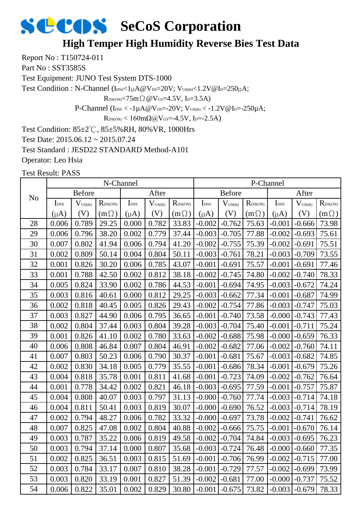### **High Temper High Humidity Reverse Bies Test Data**

Report No : T150724-011

Part No: SST3585S

Test Equipment: JUNO Test System DTS-1000

Test Condition : N-Channel (IDSS<1µA@VDS=20V; VGS(th)<1.2V@ID=250µA;

 $R_{DS(ON)}$ <75m $\Omega$  @V $_{GS}$ =4.5V, I<sub>D</sub>=3.5A)

P-Channel ( $I_{\text{DSS}} < -1 \mu A @V_{\text{DS}} = -20 V$ ;  $V_{\text{GS(th}} < -1.2 V @I_{\text{D}} = -250 \mu A$ ;

 $R_{DS(ON)}$  < 160mΩ@V<sub>GS</sub>=-4.5V, I<sub>D</sub>=-2.5A)

Test Condition: 85±2℃, 85±5%RH, 80%VR, 1000Hrs

Test Date: 2015.06.12 ~ 2015.07.24

Test Standard : JESD22 STANDARD Method-A101

Operator: Leo Hsia

|                | N-Channel        |              |                            |                  |              |              |                  | P-Channel    |                     |                  |                     |                            |  |
|----------------|------------------|--------------|----------------------------|------------------|--------------|--------------|------------------|--------------|---------------------|------------------|---------------------|----------------------------|--|
| N <sub>o</sub> | <b>Before</b>    |              |                            | After            |              |              | <b>Before</b>    |              |                     | After            |                     |                            |  |
|                | I <sub>DSS</sub> | $V_{GS(th)}$ | $R_{\text{DS}(\text{ON})}$ | I <sub>DSS</sub> | $V_{GS(th)}$ | $R_{DS(ON)}$ | I <sub>DSS</sub> | $V_{GS(th)}$ | $R_{\text{DS(ON)}}$ | I <sub>DSS</sub> | $V_{\text{GS(th)}}$ | $R_{\text{DS}(\text{ON})}$ |  |
|                | $(\mu A)$        | (V)          | $(m\Omega)$                | $(\mu A)$        | (V)          | $(m \Omega)$ | $(\mu A)$        | (V)          | $(m\Omega)$         | $(\mu A)$        | (V)                 | $(m\Omega)$                |  |
| 28             | 0.006            | 0.789        | 29.25                      | 0.000            | 0.782        | 33.83        | $-0.002$         | $-0.762$     | 75.63               | $-0.001$         | $-0.666$            | 73.98                      |  |
| 29             | 0.006            | 0.796        | 38.20                      | 0.002            | 0.779        | 37.44        | $-0.003$         | $-0.705$     | 77.88               | $-0.002$         | $-0.693$            | 75.61                      |  |
| 30             | 0.007            | 0.802        | 41.94                      | 0.006            | 0.794        | 41.20        | $-0.002$         | $-0.755$     | 75.39               | $-0.002$         | $-0.691$            | 75.51                      |  |
| 31             | 0.002            | 0.809        | 50.14                      | 0.004            | 0.804        | 50.11        | $-0.003$         | $-0.761$     | 78.21               | $-0.003$         | $-0.709$            | 73.55                      |  |
| 32             | 0.001            | 0.826        | 30.20                      | 0.006            | 0.785        | 43.07        | $-0.001$         | $-0.691$     | 75.57               | $-0.001$         | $-0.691$            | 77.46                      |  |
| 33             | 0.001            | 0.788        | 42.50                      | 0.002            | 0.812        | 38.18        | $-0.002$         | $-0.745$     | 74.80               | $-0.002$         | $-0.740$            | 78.33                      |  |
| 34             | 0.005            | 0.824        | 33.90                      | 0.002            | 0.786        | 44.53        | $-0.001$         | $-0.694$     | 74.95               | $-0.003$         | $-0.672$            | 74.24                      |  |
| 35             | 0.003            | 0.816        | 40.61                      | 0.000            | 0.812        | 29.25        | $-0.003$         | $-0.662$     | 77.34               | $-0.001$         | $-0.687$            | 74.99                      |  |
| 36             | 0.002            | 0.818        | 40.45                      | 0.005            | 0.826        | 29.43        | $-0.002$         | $-0.754$     | 77.86               | $-0.003$         | $-0.747$            | 75.03                      |  |
| 37             | 0.003            | 0.827        | 44.90                      | 0.006            | 0.795        | 36.65        | $-0.001$         | $-0.740$     | 73.58               | $-0.000$         | $-0.743$            | 77.43                      |  |
| 38             | 0.002            | 0.804        | 37.44                      | 0.003            | 0.804        | 39.28        | $-0.003$         | $-0.704$     | 75.40               | $-0.001$         | $-0.711$            | 75.24                      |  |
| 39             | 0.001            | 0.826        | 41.10                      | 0.002            | 0.780        | 33.63        | $-0.002$         | $-0.688$     | 75.98               | $-0.000$         | $-0.659$            | 76.33                      |  |
| 40             | 0.006            | 0.808        | 46.84                      | 0.007            | 0.804        | 46.91        | $-0.002$         | $-0.682$     | 77.06               | $-0.002$         | $-0.760$            | 74.11                      |  |
| 41             | 0.007            | 0.803        | 50.23                      | 0.006            | 0.790        | 30.37        | $-0.001$         | $-0.681$     | 75.67               | $-0.003$         | $-0.682$            | 74.85                      |  |
| 42             | 0.002            | 0.830        | 34.18                      | 0.005            | 0.779        | 35.55        | $-0.001$         | $-0.686$     | 78.34               | $-0.001$         | $-0.679$            | 75.26                      |  |
| 43             | 0.004            | 0.818        | 35.78                      | 0.001            | 0.811        | 41.68        | $-0.001$         | $-0.723$     | 74.09               | $-0.002$         | $-0.762$            | 76.64                      |  |
| 44             | 0.001            | 0.778        | 34.42                      | 0.002            | 0.821        | 46.18        | $-0.003$         | $-0.695$     | 77.59               | $-0.001$         | $-0.757$            | 75.87                      |  |
| 45             | 0.004            | 0.808        | 40.07                      | 0.003            | 0.797        | 31.13        | $-0.000$         | $-0.760$     | 77.74               | $-0.003$         | $-0.714$            | 74.18                      |  |
| 46             | 0.004            | 0.811        | 50.41                      | 0.003            | 0.819        | 30.07        | $-0.000$         | $-0.690$     | 76.52               | $-0.003$         | $-0.714$            | 78.19                      |  |
| 47             | 0.002            | 0.794        | 48.27                      | 0.006            | 0.782        | 33.32        | $-0.000$         | $-0.697$     | 73.78               | $-0.002$         | $-0.741$            | 76.62                      |  |
| 48             | 0.007            | 0.825        | 47.08                      | 0.002            | 0.804        | 40.88        | $-0.002$         | $-0.666$     | 75.75               | $-0.001$         | $-0.670$            | 76.14                      |  |
| 49             | 0.003            | 0.787        | 35.22                      | 0.006            | 0.819        | 49.58        | $-0.002$         | $-0.704$     | 74.84               | $-0.003$         | $-0.695$            | 76.23                      |  |
| 50             | 0.003            | 0.794        | 37.14                      | 0.000            | 0.807        | 35.68        | $-0.003$         | $-0.724$     | 76.48               | $-0.000$         | $-0.660$            | 77.35                      |  |
| 51             | 0.002            | 0.825        | 36.51                      | 0.003            | 0.815        | 51.69        | $-0.001$         | $-0.706$     | 76.99               | $-0.002$         | $-0.715$            | 77.00                      |  |
| 52             | 0.003            | 0.784        | 33.17                      | 0.007            | 0.810        | 38.28        | $-0.001$         | $-0.729$     | 77.57               | $-0.002$         | $-0.699$            | 73.99                      |  |
| 53             | 0.003            | 0.820        | 33.19                      | 0.001            | 0.827        | 51.39        | $-0.002$         | $-0.681$     | 77.00               | $-0.000$         | $-0.737$            | 75.52                      |  |
| 54             | 0.006            | 0.822        | 35.01                      | 0.002            | 0.829        | 30.80        | $-0.001$         | $-0.675$     | 73.82               | $-0.003$         | $-0.679$            | 78.33                      |  |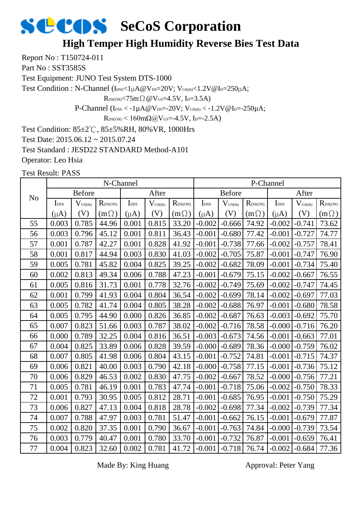#### **High Temper High Humidity Reverse Bies Test Data**

Report No : T150724-011

Part No: SST3585S

Test Equipment: JUNO Test System DTS-1000

Test Condition : N-Channel (IDSS<1µA@VDS=20V; VGS(th)<1.2V@ID=250µA;

 $R_{DS(ON)} < 75m\Omega$  @  $V_{GS} = 4.5V$ , I<sub>D</sub>=3.5A)

P-Channel ( $I_{\text{DSS}} < -1 \mu A @V_{\text{DS}} = -20 V$ ;  $V_{\text{GS(th}} < -1.2 V @I_{\text{D}} = -250 \mu A$ ;

 $R_{DS(ON)}$  < 160m $\Omega$ @V<sub>GS</sub>=-4.5V, I<sub>D</sub>=-2.5A)

Test Condition: 85±2℃, 85±5%RH, 80%VR, 1000Hrs

Test Date: 2015.06.12 ~ 2015.07.24

Test Standard : JESD22 STANDARD Method-A101

Operator: Leo Hsia

Test Result: PASS

|                | N-Channel        |                              |                     |                  |                     |                  |                  | P-Channel           |                  |                  |                     |                  |  |  |
|----------------|------------------|------------------------------|---------------------|------------------|---------------------|------------------|------------------|---------------------|------------------|------------------|---------------------|------------------|--|--|
| N <sub>o</sub> | <b>Before</b>    |                              |                     | After            |                     |                  | <b>Before</b>    |                     |                  | After            |                     |                  |  |  |
|                | I <sub>DSS</sub> | $\mathbf{V}_{\text{GS(th)}}$ | $R_{\text{DS(ON)}}$ | I <sub>DSS</sub> | $V_{\text{GS(th)}}$ | $R_{\rm DS(ON)}$ | I <sub>DSS</sub> | $V_{\text{GS(th)}}$ | $R_{\rm DS(ON)}$ | I <sub>DSS</sub> | $V_{\text{GS(th)}}$ | $R_{\rm DS(ON)}$ |  |  |
|                | $(\mu A)$        | (V)                          | $(m\Omega)$         | $(\mu A)$        | (V)                 | $(m\Omega)$      | $(\mu A)$        | (V)                 | $(m\Omega)$      | $(\mu A)$        | (V)                 | $(m\Omega)$      |  |  |
| 55             | 0.003            | 0.785                        | 44.96               | 0.001            | 0.815               | 33.20            | $-0.002$         | $-0.666$            | 74.92            | $-0.002$         | $-0.741$            | 73.62            |  |  |
| 56             | 0.003            | 0.796                        | 45.12               | 0.001            | 0.811               | 36.43            | $-0.001$         | $-0.680$            | 77.42            | $-0.001$         | $-0.727$            | 74.77            |  |  |
| 57             | 0.001            | 0.787                        | 42.27               | 0.001            | 0.828               | 41.92            | $-0.001$         | $-0.738$            | 77.66            | $-0.002$         | $-0.757$            | 78.41            |  |  |
| 58             | 0.001            | 0.817                        | 44.94               | 0.003            | 0.830               | 41.03            | $-0.002$         | $-0.705$            | 75.87            | $-0.001$         | $-0.747$            | 76.90            |  |  |
| 59             | 0.005            | 0.781                        | 45.82               | 0.004            | 0.825               | 39.25            | $-0.002$         | $-0.682$            | 78.09            | $-0.001$         | $-0.734$            | 75.40            |  |  |
| 60             | 0.002            | 0.813                        | 49.34               | 0.006            | 0.788               | 47.23            | $-0.001$         | $-0.679$            | 75.15            | $-0.002$         | $-0.667$            | 76.55            |  |  |
| 61             | 0.005            | 0.816                        | 31.73               | 0.001            | 0.778               | 32.76            | $-0.002$         | $-0.749$            | 75.69            | $-0.002$         | $-0.747$            | 74.45            |  |  |
| 62             | 0.001            | 0.799                        | 41.93               | 0.004            | 0.804               | 36.54            | $-0.002$         | $-0.699$            | 78.14            | $-0.002$         | $-0.697$            | 77.03            |  |  |
| 63             | 0.005            | 0.782                        | 41.74               | 0.004            | 0.805               | 38.28            | $-0.002$         | $-0.688$            | 76.97            | $-0.001$         | $-0.680$            | 78.58            |  |  |
| 64             | 0.005            | 0.795                        | 44.90               | 0.000            | 0.826               | 36.85            | $-0.002$         | $-0.687$            | 76.63            | $-0.003$         | $-0.692$            | 75.70            |  |  |
| 65             | 0.007            | 0.823                        | 51.66               | 0.003            | 0.787               | 38.02            | $-0.002$         | $-0.716$            | 78.58            | $-0.000$         | $-0.716$            | 76.20            |  |  |
| 66             | 0.000            | 0.789                        | 32.25               | 0.004            | 0.816               | 36.51            | $-0.003$         | $-0.673$            | 74.56            | $-0.001$         | $-0.663$            | 77.01            |  |  |
| 67             | 0.004            | 0.825                        | 33.89               | 0.006            | 0.828               | 39.59            | $-0.000$         | $-0.689$            | 78.36            | $-0.000$         | $-0.759$            | 76.02            |  |  |
| 68             | 0.007            | 0.805                        | 41.98               | 0.006            | 0.804               | 43.15            | $-0.001$         | $-0.752$            | 74.81            | $-0.001$         | $-0.715$            | 74.37            |  |  |
| 69             | 0.006            | 0.821                        | 40.00               | 0.003            | 0.790               | 42.18            | $-0.000$         | $-0.758$            | 77.15            | $-0.001$         | $-0.736$            | 75.12            |  |  |
| 70             | 0.006            | 0.829                        | 46.53               | 0.002            | 0.830               | 47.75            | $-0.002$         | $-0.667$            | 78.52            | $-0.000$         | $-0.756$            | 77.21            |  |  |
| 71             | 0.005            | 0.781                        | 46.19               | 0.001            | 0.783               | 47.74            | $-0.001$         | $-0.718$            | 75.06            | $-0.002$         | $-0.750$            | 78.33            |  |  |
| 72             | 0.001            | 0.793                        | 30.95               | 0.005            | 0.812               | 28.71            | $-0.001$         | $-0.685$            | 76.95            | $-0.001$         | $-0.750$            | 75.29            |  |  |
| 73             | 0.006            | 0.827                        | 47.13               | 0.004            | 0.818               | 28.78            | $-0.002$         | $-0.698$            | 77.34            | $-0.002$         | $-0.739$            | 77.34            |  |  |
| 74             | 0.007            | 0.788                        | 47.97               | 0.003            | 0.781               | 51.47            | $-0.001$         | $-0.662$            | 76.15            | $-0.001$         | $-0.679$            | 77.87            |  |  |
| 75             | 0.002            | 0.820                        | 37.35               | 0.001            | 0.790               | 36.67            | $-0.001$         | $-0.763$            | 74.84            | $-0.000$         | $-0.739$            | 73.54            |  |  |
| 76             | 0.003            | 0.779                        | 40.47               | 0.001            | 0.780               | 33.70            | $-0.001$         | $-0.732$            | 76.87            | $-0.001$         | $-0.659$            | 76.41            |  |  |
| 77             | 0.004            | 0.823                        | 32.60               | 0.002            | 0.781               | 41.72            | $-0.001$         | $-0.718$            | 76.74            | $-0.002$         | $-0.684$            | 77.36            |  |  |